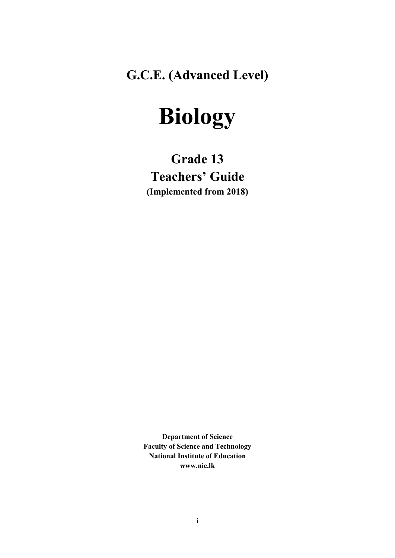**G.C.E. (Advanced Level)**

# **Biology**

# **Grade 13 Teachers' Guide (Implemented from 2018)**

**Department of Science Faculty of Science and Technology National Institute of Education www.nie.lk**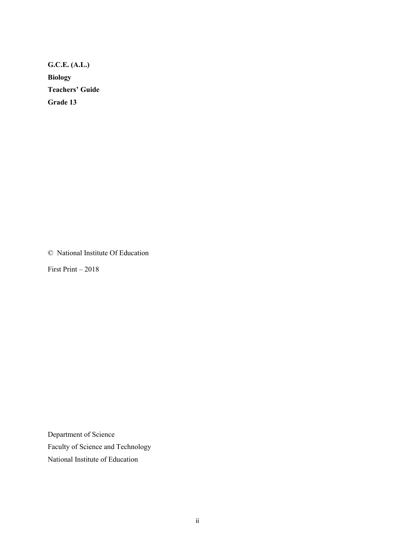**G.C.E. (A.L.) Biology Teachers' Guide Grade 13**

© National Institute Of Education

First Print – 2018

Department of Science Faculty of Science and Technology National Institute of Education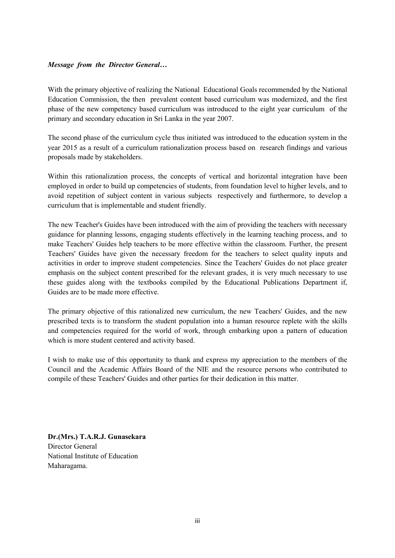#### *Message from the Director General…*

With the primary objective of realizing the National Educational Goals recommended by the National Education Commission, the then prevalent content based curriculum was modernized, and the first phase of the new competency based curriculum was introduced to the eight year curriculum of the primary and secondary education in Sri Lanka in the year 2007.

The second phase of the curriculum cycle thus initiated was introduced to the education system in the year 2015 as a result of a curriculum rationalization process based on research findings and various proposals made by stakeholders.

Within this rationalization process, the concepts of vertical and horizontal integration have been employed in order to build up competencies of students, from foundation level to higher levels, and to avoid repetition of subject content in various subjects respectively and furthermore, to develop a curriculum that is implementable and student friendly.

The new Teacher's Guides have been introduced with the aim of providing the teachers with necessary guidance for planning lessons, engaging students effectively in the learning teaching process, and to make Teachers' Guides help teachers to be more effective within the classroom. Further, the present Teachers' Guides have given the necessary freedom for the teachers to select quality inputs and activities in order to improve student competencies. Since the Teachers' Guides do not place greater emphasis on the subject content prescribed for the relevant grades, it is very much necessary to use these guides along with the textbooks compiled by the Educational Publications Department if, Guides are to be made more effective.

The primary objective of this rationalized new curriculum, the new Teachers' Guides, and the new prescribed texts is to transform the student population into a human resource replete with the skills and competencies required for the world of work, through embarking upon a pattern of education which is more student centered and activity based.

I wish to make use of this opportunity to thank and express my appreciation to the members of the Council and the Academic Affairs Board of the NIE and the resource persons who contributed to compile of these Teachers' Guides and other parties for their dedication in this matter.

**Dr.(Mrs.) T.A.R.J. Gunasekara** Director General National Institute of Education Maharagama.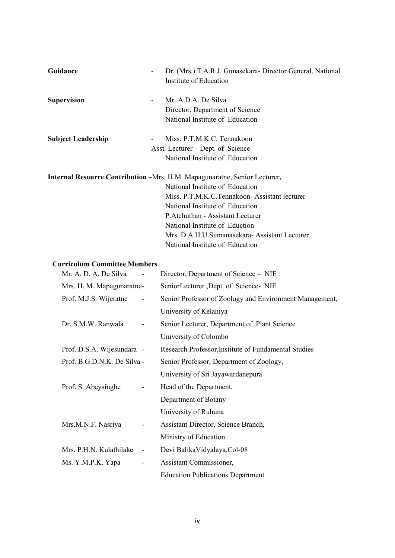| Guidance                  | Dr. (Mrs.) T.A.R.J. Gunasekara- Director General, National<br>Institute of Education                                                                                                                                                                                                                                           |
|---------------------------|--------------------------------------------------------------------------------------------------------------------------------------------------------------------------------------------------------------------------------------------------------------------------------------------------------------------------------|
| <b>Supervision</b>        | Mr. A.D.A. De Silva<br>$\overline{\phantom{a}}$<br>Director, Department of Science<br>National Institute of Education                                                                                                                                                                                                          |
| <b>Subject Leadership</b> | Miss: P.T.M.K.C. Tennakoon<br>Asst. Lecturer – Dept. of Science<br>National Institute of Education                                                                                                                                                                                                                             |
|                           | <b>Internal Resource Contribution</b> – Mrs. H.M. Mapagunaratne, Senior Lecturer,<br>National Institute of Education<br>Miss. P.T.M.K.C.Tennakoon-Assistant lecturer<br>National Institute of Education<br>P. Atchuthan - Assistant Lecturer<br>National Institute of Eduction<br>Mrs. D.A.H.U.Sumanasekara-Assistant Lecturer |

National Institute of Education

#### **Curriculum Committee Members**

| Mr. A. D. A. De Silva       |                          | Director, Department of Science – NIE                   |
|-----------------------------|--------------------------|---------------------------------------------------------|
| Mrs. H. M. Mapagunaratne-   |                          | SeniorLecturer ,Dept. of Science- NIE                   |
| Prof. M.J.S. Wijeratne      | $\overline{\phantom{a}}$ | Senior Professor of Zoology and Environment Management, |
|                             |                          | University of Kelaniya                                  |
| Dr. S.M.W. Ranwala          | -                        | Senior Lecturer, Department of Plant Science            |
|                             |                          | University of Colombo                                   |
| Prof. D.S.A. Wijesundara -  |                          | Research Professor, Institute of Fundamental Studies    |
| Prof. B.G.D.N.K. De Silva - |                          | Senior Professor, Department of Zoology,                |
|                             |                          | University of Sri Jayawardanepura                       |
| Prof. S. Abeysinghe         |                          | Head of the Department,                                 |
|                             |                          | Department of Botany                                    |
|                             |                          | University of Ruhuna                                    |
| Mrs.M.N.F. Nasriya          | ۰                        | Assistant Director, Science Branch,                     |
|                             |                          | Ministry of Education                                   |
| Mrs. P.H.N. Kulathilake     | $\overline{\phantom{0}}$ | Devi Balika Vidyalaya, Col-08                           |
| Ms. Y.M.P.K. Yapa           | -                        | Assistant Commissioner,                                 |
|                             |                          | <b>Education Publications Department</b>                |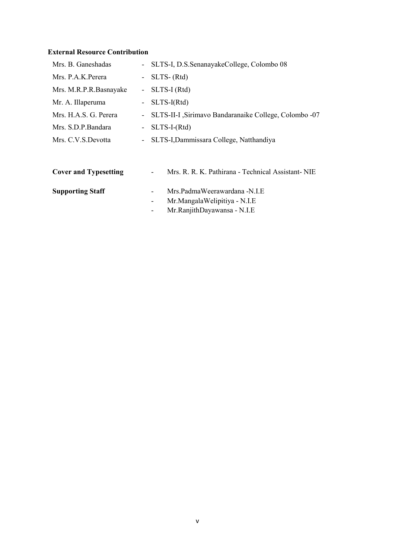# **External Resource Contribution**

| Mrs. B. Ganeshadas           |           | - SLTS-I, D.S.SenanayakeCollege, Colombo 08            |  |
|------------------------------|-----------|--------------------------------------------------------|--|
| Mrs. P.A.K.Perera            |           | - SLTS- $(Rtd)$                                        |  |
| Mrs. M.R.P.R.Basnayake       |           | - $SLTS-I(Rtd)$                                        |  |
| Mr. A. Illaperuma            |           | $-$ SLTS-I(Rtd)                                        |  |
| Mrs. H.A.S. G. Perera        | $\sim$    | SLTS-II-I , Sirimavo Bandaranaike College, Colombo -07 |  |
| Mrs. S.D.P.Bandara           | $\sim 10$ | $SLTS-I-(Rtd)$                                         |  |
| Mrs. C.V.S.Devotta           |           | - SLTS-I, Dammissara College, Natthandiya              |  |
|                              |           |                                                        |  |
| <b>Cover and Typesetting</b> |           | Mrs. R. R. K. Pathirana - Technical Assistant-NIE      |  |
| <b>Supporting Staff</b>      |           | Mrs.PadmaWeerawardana -N.I.E<br>-                      |  |
|                              |           | Mr.MangalaWelipitiya - N.I.E                           |  |

- Mr.RanjithDayawansa - N.I.E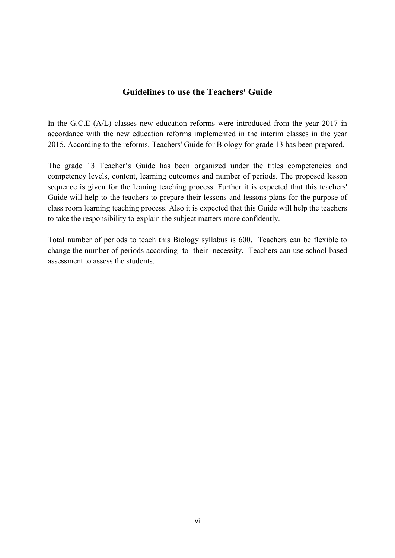# **Guidelines to use the Teachers' Guide**

In the G.C.E (A/L) classes new education reforms were introduced from the year 2017 in accordance with the new education reforms implemented in the interim classes in the year 2015. According to the reforms, Teachers' Guide for Biology for grade 13 has been prepared.

The grade 13 Teacher's Guide has been organized under the titles competencies and competency levels, content, learning outcomes and number of periods. The proposed lesson sequence is given for the leaning teaching process. Further it is expected that this teachers' Guide will help to the teachers to prepare their lessons and lessons plans for the purpose of class room learning teaching process. Also it is expected that this Guide will help the teachers to take the responsibility to explain the subject matters more confidently.

Total number of periods to teach this Biology syllabus is 600. Teachers can be flexible to change the number of periods according to their necessity. Teachers can use school based assessment to assess the students.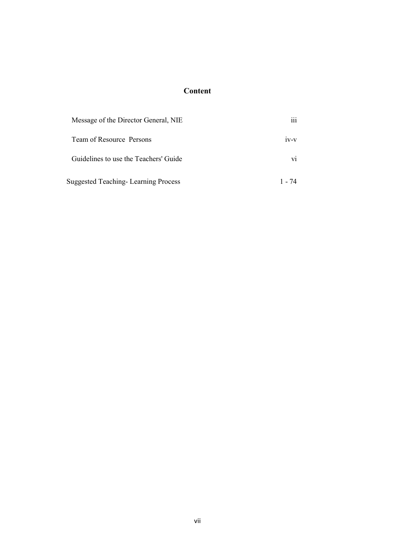# **Content**

| Message of the Director General, NIE       | $\cdots$<br>111 |
|--------------------------------------------|-----------------|
| Team of Resource Persons                   | $1V-V$          |
| Guidelines to use the Teachers' Guide      | V1              |
| <b>Suggested Teaching-Learning Process</b> | 1 - 74          |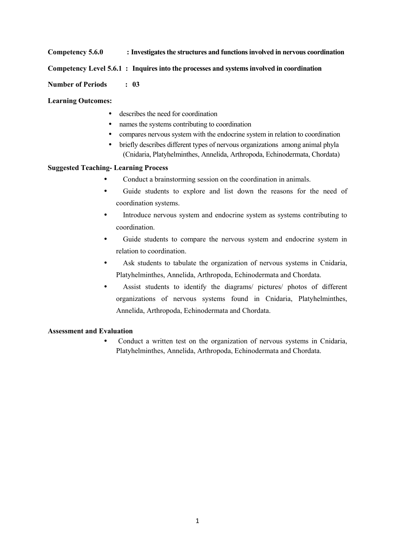**Competency 5.6.0 : Investigates the structures and functions involved in nervous coordination**

#### **Competency Level 5.6.1 : Inquires into the processes and systems involved in coordination**

**Number of Periods : 03**

**Learning Outcomes:**

- describes the need for coordination
- names the systems contributing to coordination
- compares nervous system with the endocrine system in relation to coordination
- briefly describes different types of nervous organizations among animal phyla (Cnidaria, Platyhelminthes, Annelida, Arthropoda, Echinodermata, Chordata)

#### **Suggested Teaching- Learning Process**

- Conduct a brainstorming session on the coordination in animals.
- Guide students to explore and list down the reasons for the need of coordination systems.
- Introduce nervous system and endocrine system as systems contributing to coordination.
- Guide students to compare the nervous system and endocrine system in relation to coordination.
- Ask students to tabulate the organization of nervous systems in Cnidaria, Platyhelminthes, Annelida, Arthropoda, Echinodermata and Chordata.
- Assist students to identify the diagrams/ pictures/ photos of different organizations of nervous systems found in Cnidaria, Platyhelminthes, Annelida, Arthropoda, Echinodermata and Chordata.

#### **Assessment and Evaluation**

• Conduct a written test on the organization of nervous systems in Cnidaria, Platyhelminthes, Annelida, Arthropoda, Echinodermata and Chordata.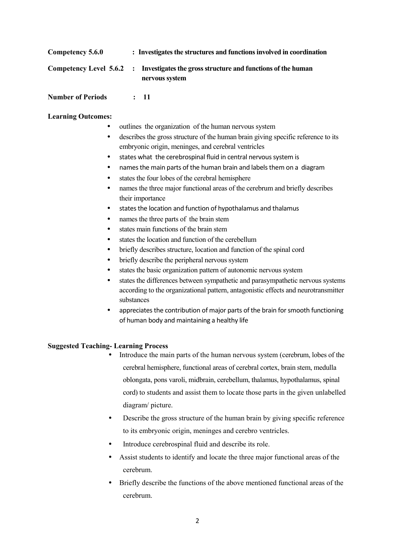| Competency 5.6.0 | : Investigates the structures and functions involved in coordination                                   |
|------------------|--------------------------------------------------------------------------------------------------------|
|                  | Competency Level 5.6.2 : Investigates the gross structure and functions of the human<br>nervous system |

**Number of Periods : 11**

#### **Learning Outcomes:**

- outlines the organization of the human nervous system
- describes the gross structure of the human brain giving specific reference to its embryonic origin, meninges, and cerebral ventricles
- states what the cerebrospinal fluid in central nervous system is
- names the main parts of the human brain and labels them on a diagram
- states the four lobes of the cerebral hemisphere
- hames the three major functional areas of the cerebrum and briefly describes their importance
- states the location and function of hypothalamus and thalamus
- names the three parts of the brain stem
- states main functions of the brain stem
- states the location and function of the cerebellum
- briefly describes structure, location and function of the spinal cord
- briefly describe the peripheral nervous system
- states the basic organization pattern of autonomic nervous system
- states the differences between sympathetic and parasympathetic nervous systems according to the organizational pattern, antagonistic effects and neurotransmitter substances
- appreciates the contribution of major parts of the brain for smooth functioning of human body and maintaining a healthy life

#### **Suggested Teaching- Learning Process**

- Introduce the main parts of the human nervous system (cerebrum, lobes of the cerebral hemisphere, functional areas of cerebral cortex, brain stem, medulla oblongata, pons varoli, midbrain, cerebellum, thalamus, hypothalamus, spinal cord) to students and assist them to locate those parts in the given unlabelled diagram/ picture.
- Describe the gross structure of the human brain by giving specific reference to its embryonic origin, meninges and cerebro ventricles.
- Introduce cerebrospinal fluid and describe its role.
- Assist students to identify and locate the three major functional areas of the cerebrum.
- Briefly describe the functions of the above mentioned functional areas of the cerebrum.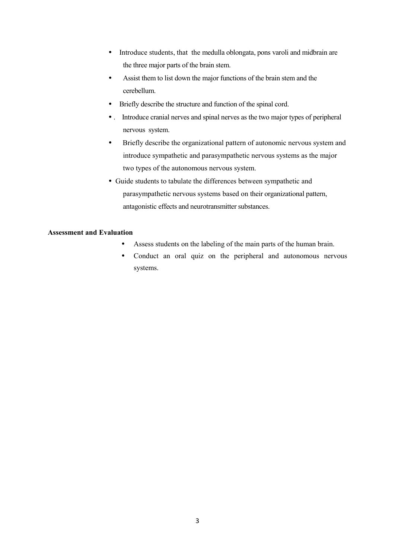- Introduce students, that the medulla oblongata, pons varoli and midbrain are the three major parts of the brain stem.
- Assist them to list down the major functions of the brain stem and the cerebellum.
- Briefly describe the structure and function of the spinal cord.
- . Introduce cranial nerves and spinal nerves as the two major types of peripheral nervous system.
- Briefly describe the organizational pattern of autonomic nervous system and introduce sympathetic and parasympathetic nervous systems as the major two types of the autonomous nervous system.
- Guide students to tabulate the differences between sympathetic and parasympathetic nervous systems based on their organizational pattern, antagonistic effects and neurotransmitter substances.

- Assess students on the labeling of the main parts of the human brain.
- Conduct an oral quiz on the peripheral and autonomous nervous systems.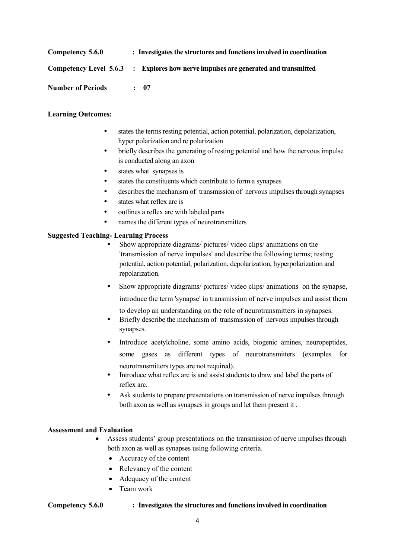| Competency 5.6.0         | : Investigates the structures and functions involved in coordination               |
|--------------------------|------------------------------------------------------------------------------------|
|                          | Competency Level 5.6.3 : Explores how nerve impulses are generated and transmitted |
| <b>Number of Periods</b> | $\div$ 07                                                                          |

#### **Learning Outcomes:**

- states the terms resting potential, action potential, polarization, depolarization, hyper polarization and re polarization
- briefly describes the generating of resting potential and how the nervous impulse is conducted along an axon
- states what synapses is
- states the constituents which contribute to form a synapses
- describes the mechanism of transmission of nervous impulses through synapses
- states what reflex arc is
- outlines a reflex arc with labeled parts
- names the different types of neurotransmitters

#### **Suggested Teaching- Learning Process**

- Show appropriate diagrams/ pictures/ video clips/ animations on the 'transmission of nerve impulses' and describe the following terms; resting potential, action potential, polarization, depolarization, hyperpolarization and repolarization.
- Show appropriate diagrams/ pictures/ video clips/ animations on the synapse, introduce the term 'synapse' in transmission of nerve impulses and assist them

to develop an understanding on the role of neurotransmitters in synapses.

- Briefly describe the mechanism of transmission of nervous impulses through synapses.
- Introduce acetylcholine, some amino acids, biogenic amines, neuropeptides, some gases as different types of neurotransmitters (examples for neurotransmitters types are not required).
- Introduce what reflex arc is and assist students to draw and label the parts of reflex arc.
- Ask students to prepare presentations on transmission of nerve impulses through both axon as well as synapses in groups and let them present it .

#### **Assessment and Evaluation**

- Assess students' group presentations on the transmission of nerve impulses through both axon as well as synapses using following criteria.
	- Accuracy of the content
	- Relevancy of the content
	- Adequacy of the content
	- Team work

#### **Competency 5.6.0 : Investigates the structures and functions involved in coordination**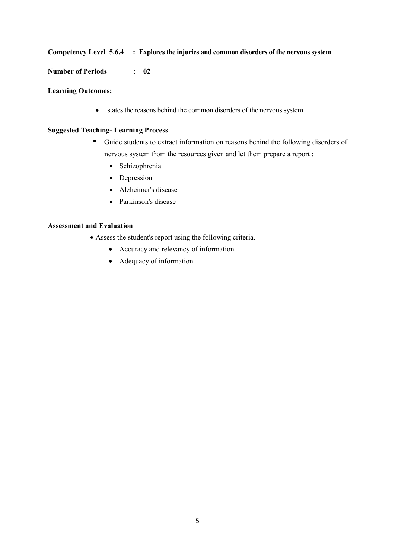#### **Competency Level 5.6.4 : Explores the injuries and common disorders of the nervous system**

**Number of Periods : 02**

#### **Learning Outcomes:**

states the reasons behind the common disorders of the nervous system

#### **Suggested Teaching- Learning Process**

- Guide students to extract information on reasons behind the following disorders of nervous system from the resources given and let them prepare a report ;
	- Schizophrenia
	- Depression
	- Alzheimer's disease
	- Parkinson's disease

- Assess the student's report using the following criteria.
	- Accuracy and relevancy of information
	- Adequacy of information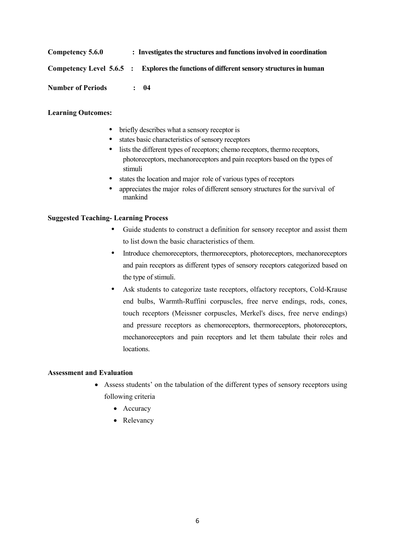| Competency 5.6.0         |  | : Investigates the structures and functions involved in coordination                     |  |  |
|--------------------------|--|------------------------------------------------------------------------------------------|--|--|
|                          |  | Competency Level 5.6.5 : Explores the functions of different sensory structures in human |  |  |
| <b>Number of Periods</b> |  | $\therefore$ 04                                                                          |  |  |

#### **Learning Outcomes:**

- briefly describes what a sensory receptor is
- states basic characteristics of sensory receptors
- lists the different types of receptors; chemo receptors, thermo receptors, photoreceptors, mechanoreceptors and pain receptors based on the types of stimuli
- states the location and major role of various types of receptors
- appreciates the major roles of different sensory structures for the survival of mankind

#### **Suggested Teaching- Learning Process**

- Guide students to construct a definition for sensory receptor and assist them to list down the basic characteristics of them.
- Introduce chemoreceptors, thermoreceptors, photoreceptors, mechanoreceptors and pain receptors as different types of sensory receptors categorized based on the type of stimuli.
- Ask students to categorize taste receptors, olfactory receptors, Cold-Krause end bulbs, Warmth-Ruffini corpuscles, free nerve endings, rods, cones, touch receptors (Meissner corpuscles, Merkel's discs, free nerve endings) and pressure receptors as chemoreceptors, thermoreceptors, photoreceptors, mechanoreceptors and pain receptors and let them tabulate their roles and locations.

- Assess students' on the tabulation of the different types of sensory receptors using following criteria
	- Accuracy
	- Relevancy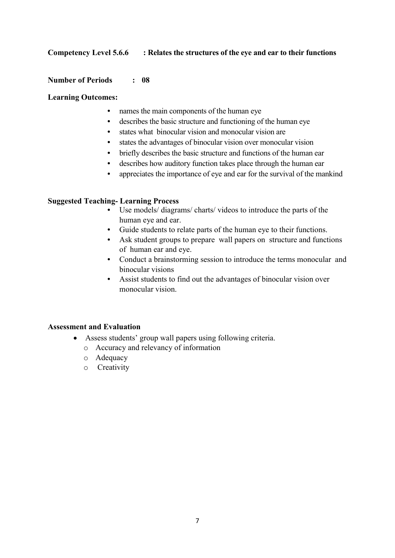# **Competency Level 5.6.6 : Relates the structures of the eye and ear to their functions**

#### **Number of Periods : 08**

#### **Learning Outcomes:**

- names the main components of the human eye
- describes the basic structure and functioning of the human eye
- states what binocular vision and monocular vision are
- states the advantages of binocular vision over monocular vision
- briefly describes the basic structure and functions of the human ear
- describes how auditory function takes place through the human ear
- appreciates the importance of eye and ear for the survival of the mankind

# **Suggested Teaching- Learning Process**

- Use models/ diagrams/ charts/ videos to introduce the parts of the human eye and ear.
- Guide students to relate parts of the human eye to their functions.
- Ask student groups to prepare wall papers on structure and functions of human ear and eye.
- Conduct a brainstorming session to introduce the terms monocular and binocular visions
- Assist students to find out the advantages of binocular vision over monocular vision.

- Assess students' group wall papers using following criteria.
	- o Accuracy and relevancy of information
	- o Adequacy
	- o Creativity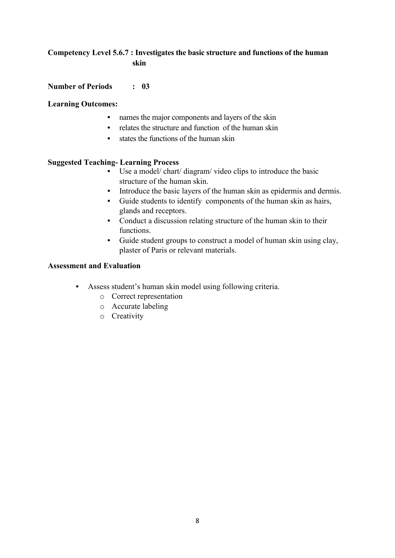# **Competency Level 5.6.7 : Investigates the basic structure and functions of the human skin**

#### **Number of Periods : 03**

#### **Learning Outcomes:**

- names the major components and layers of the skin
- relates the structure and function of the human skin
- states the functions of the human skin

#### **Suggested Teaching- Learning Process**

- Use a model/ chart/ diagram/ video clips to introduce the basic structure of the human skin.
- Introduce the basic layers of the human skin as epidermis and dermis.
- Guide students to identify components of the human skin as hairs, glands and receptors.
- Conduct a discussion relating structure of the human skin to their functions.
- Guide student groups to construct a model of human skin using clay, plaster of Paris or relevant materials.

- Assess student's human skin model using following criteria.
	- o Correct representation
	- o Accurate labeling
	- o Creativity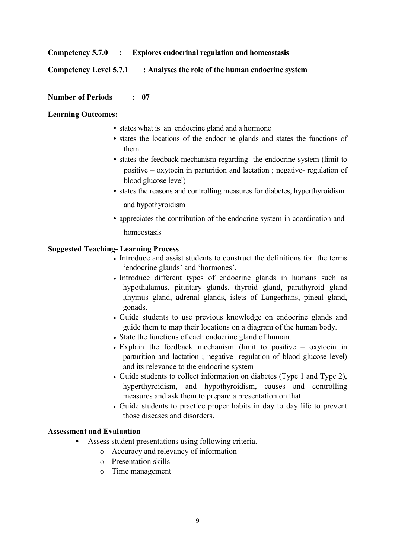#### **Competency 5.7.0 : Explores endocrinal regulation and homeostasis**

#### **Competency Level 5.7.1 : Analyses the role of the human endocrine system**

#### **Number of Periods : 07**

#### **Learning Outcomes:**

- states what is an endocrine gland and a hormone
- states the locations of the endocrine glands and states the functions of them
- states the feedback mechanism regarding the endocrine system (limit to positive – oxytocin in parturition and lactation ; negative- regulation of blood glucose level)
- states the reasons and controlling measures for diabetes, hyperthyroidism and hypothyroidism
- appreciates the contribution of the endocrine system in coordination and homeostasis

#### **Suggested Teaching- Learning Process**

- Introduce and assist students to construct the definitions for the terms 'endocrine glands' and 'hormones'.
- Introduce different types of endocrine glands in humans such as hypothalamus, pituitary glands, thyroid gland, parathyroid gland ,thymus gland, adrenal glands, islets of Langerhans, pineal gland, gonads.
- Guide students to use previous knowledge on endocrine glands and guide them to map their locations on a diagram of the human body.
- State the functions of each endocrine gland of human.
- Explain the feedback mechanism (limit to positive oxytocin in parturition and lactation ; negative- regulation of blood glucose level) and its relevance to the endocrine system
- Guide students to collect information on diabetes (Type 1 and Type 2), hyperthyroidism, and hypothyroidism, causes and controlling measures and ask them to prepare a presentation on that
- Guide students to practice proper habits in day to day life to prevent those diseases and disorders.

- Assess student presentations using following criteria.
	- o Accuracy and relevancy of information
	- o Presentation skills
	- o Time management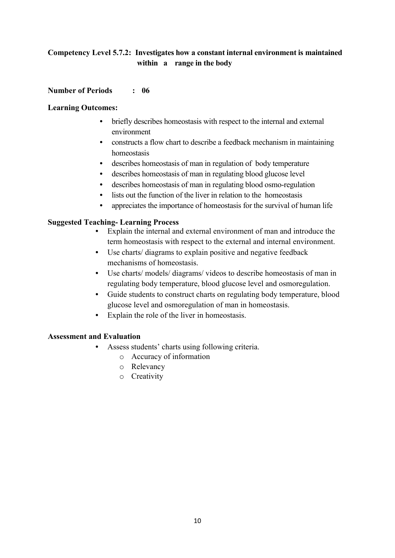# **Competency Level 5.7.2: Investigates how a constant internal environment is maintained within a range in the body**

# **Number of Periods : 06**

#### **Learning Outcomes:**

- briefly describes homeostasis with respect to the internal and external environment
- constructs a flow chart to describe a feedback mechanism in maintaining homeostasis
- describes homeostasis of man in regulation of body temperature
- describes homeostasis of man in regulating blood glucose level
- describes homeostasis of man in regulating blood osmo-regulation
- lists out the function of the liver in relation to the homeostasis
- appreciates the importance of homeostasis for the survival of human life

# **Suggested Teaching- Learning Process**

- Explain the internal and external environment of man and introduce the term homeostasis with respect to the external and internal environment.
- Use charts/ diagrams to explain positive and negative feedback mechanisms of homeostasis.
- Use charts/ models/ diagrams/ videos to describe homeostasis of man in regulating body temperature, blood glucose level and osmoregulation.
- Guide students to construct charts on regulating body temperature, blood glucose level and osmoregulation of man in homeostasis.
- Explain the role of the liver in homeostasis.

- Assess students' charts using following criteria.
	- o Accuracy of information
	- o Relevancy
	- o Creativity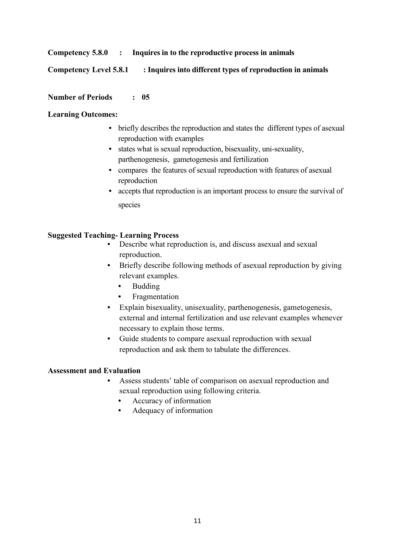# **Competency 5.8.0 : Inquires in to the reproductive process in animals**

# **Competency Level 5.8.1 : Inquires into different types of reproduction in animals**

#### **Number of Periods : 05**

#### **Learning Outcomes:**

- briefly describes the reproduction and states the different types of asexual reproduction with examples
- states what is sexual reproduction, bisexuality, uni-sexuality, parthenogenesis, gametogenesis and fertilization
- compares the features of sexual reproduction with features of asexual reproduction
- accepts that reproduction is an important process to ensure the survival of species

# **Suggested Teaching- Learning Process**

- Describe what reproduction is, and discuss asexual and sexual reproduction.
- Briefly describe following methods of asexual reproduction by giving relevant examples.
	- Budding
	- **Fragmentation**
- Explain bisexuality, unisexuality, parthenogenesis, gametogenesis, external and internal fertilization and use relevant examples whenever necessary to explain those terms.
- Guide students to compare asexual reproduction with sexual reproduction and ask them to tabulate the differences.

- Assess students' table of comparison on asexual reproduction and sexual reproduction using following criteria.
	- Accuracy of information
	- Adequacy of information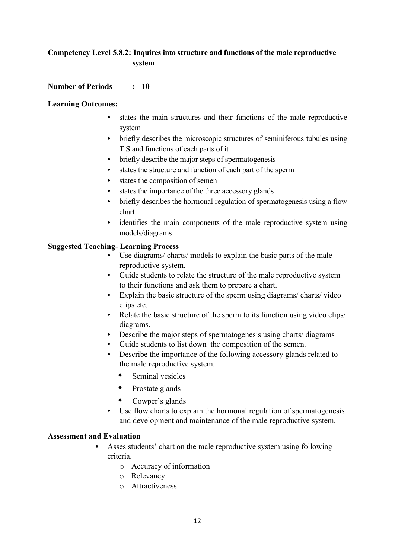# **Competency Level 5.8.2: Inquires into structure and functions of the male reproductive system**

#### **Number of Periods : 10**

#### **Learning Outcomes:**

- states the main structures and their functions of the male reproductive system
- briefly describes the microscopic structures of seminiferous tubules using T.S and functions of each parts of it
- briefly describe the major steps of spermatogenesis
- states the structure and function of each part of the sperm
- states the composition of semen
- states the importance of the three accessory glands
- briefly describes the hormonal regulation of spermatogenesis using a flow chart
- identifies the main components of the male reproductive system using models/diagrams

#### **Suggested Teaching- Learning Process**

- Use diagrams/ charts/ models to explain the basic parts of the male reproductive system.
- Guide students to relate the structure of the male reproductive system to their functions and ask them to prepare a chart.
- Explain the basic structure of the sperm using diagrams/ charts/ video clips etc.
- Relate the basic structure of the sperm to its function using video clips/ diagrams.
- Describe the major steps of spermatogenesis using charts/ diagrams
- Guide students to list down the composition of the semen.
- Describe the importance of the following accessory glands related to the male reproductive system.
	- Seminal vesicles
	- Prostate glands
	- Cowper's glands
- Use flow charts to explain the hormonal regulation of spermatogenesis and development and maintenance of the male reproductive system.

- Asses students' chart on the male reproductive system using following criteria.
	- o Accuracy of information
	- o Relevancy
	- o Attractiveness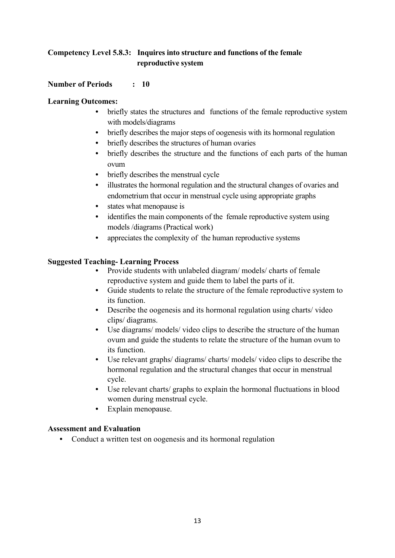# **Competency Level 5.8.3: Inquires into structure and functions of the female reproductive system**

# **Number of Periods : 10**

# **Learning Outcomes:**

- briefly states the structures and functions of the female reproductive system with models/diagrams
- briefly describes the major steps of oogenesis with its hormonal regulation
- briefly describes the structures of human ovaries
- briefly describes the structure and the functions of each parts of the human ovum
- briefly describes the menstrual cycle
- illustrates the hormonal regulation and the structural changes of ovaries and endometrium that occur in menstrual cycle using appropriate graphs
- states what menopause is
- identifies the main components of the female reproductive system using models /diagrams (Practical work)
- appreciates the complexity of the human reproductive systems

# **Suggested Teaching- Learning Process**

- Provide students with unlabeled diagram/ models/ charts of female reproductive system and guide them to label the parts of it.
- Guide students to relate the structure of the female reproductive system to its function.
- Describe the oogenesis and its hormonal regulation using charts/ video clips/ diagrams.
- Use diagrams/ models/ video clips to describe the structure of the human ovum and guide the students to relate the structure of the human ovum to its function.
- Use relevant graphs/ diagrams/ charts/ models/ video clips to describe the hormonal regulation and the structural changes that occur in menstrual cycle.
- Use relevant charts/ graphs to explain the hormonal fluctuations in blood women during menstrual cycle.
- Explain menopause.

# **Assessment and Evaluation**

• Conduct a written test on oogenesis and its hormonal regulation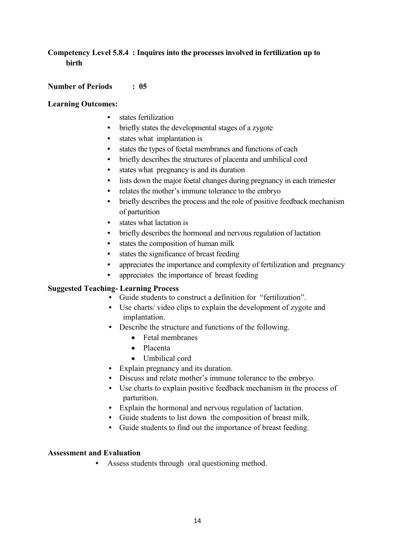# **Competency Level 5.8.4 : Inquires into the processes involved in fertilization up to birth**

#### **Number of Periods : 05**

#### **Learning Outcomes:**

- states fertilization
- briefly states the developmental stages of a zygote
- states what implantation is
- states the types of foetal membranes and functions of each
- briefly describes the structures of placenta and umbilical cord
- states what pregnancy is and its duration
- lists down the major foetal changes during pregnancy in each trimester
- relates the mother's immune tolerance to the embryo
- briefly describes the process and the role of positive feedback mechanism of parturition
- states what lactation is
- briefly describes the hormonal and nervous regulation of lactation
- states the composition of human milk
- states the significance of breast feeding
- appreciates the importance and complexity of fertilization and pregnancy
- appreciates the importance of breast feeding

#### **Suggested Teaching- Learning Process**

- Guide students to construct a definition for "fertilization".
- Use charts/ video clips to explain the development of zygote and implantation.
- Describe the structure and functions of the following.
	- Fetal membranes
	- Placenta
	- Umbilical cord
- Explain pregnancy and its duration.
- Discuss and relate mother's immune tolerance to the embryo.
- Use charts to explain positive feedback mechanism in the process of parturition.
- Explain the hormonal and nervous regulation of lactation.
- Guide students to list down the composition of breast milk.
- Guide students to find out the importance of breast feeding.

#### **Assessment and Evaluation**

Assess students through oral questioning method.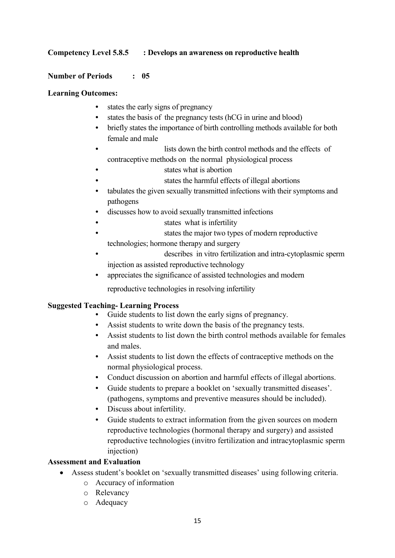# **Competency Level 5.8.5 : Develops an awareness on reproductive health**

#### **Number of Periods : 05**

#### **Learning Outcomes:**

- states the early signs of pregnancy
- states the basis of the pregnancy tests (hCG in urine and blood)
- briefly states the importance of birth controlling methods available for both female and male
- lists down the birth control methods and the effects of contraceptive methods on the normal physiological process
- states what is abortion
- states the harmful effects of illegal abortions
- tabulates the given sexually transmitted infections with their symptoms and pathogens
- discusses how to avoid sexually transmitted infections
- states what is infertility
- states the major two types of modern reproductive
- technologies; hormone therapy and surgery
- describes in vitro fertilization and intra-cytoplasmic sperm injection as assisted reproductive technology
- appreciates the significance of assisted technologies and modern

reproductive technologies in resolving infertility

#### **Suggested Teaching- Learning Process**

- Guide students to list down the early signs of pregnancy.
- Assist students to write down the basis of the pregnancy tests.
- Assist students to list down the birth control methods available for females and males.
- Assist students to list down the effects of contraceptive methods on the normal physiological process.
- Conduct discussion on abortion and harmful effects of illegal abortions.
- Guide students to prepare a booklet on 'sexually transmitted diseases'. (pathogens, symptoms and preventive measures should be included).
- Discuss about infertility.
- Guide students to extract information from the given sources on modern reproductive technologies (hormonal therapy and surgery) and assisted reproductive technologies (invitro fertilization and intracytoplasmic sperm injection)

- Assess student's booklet on 'sexually transmitted diseases' using following criteria.
	- o Accuracy of information
	- o Relevancy
	- o Adequacy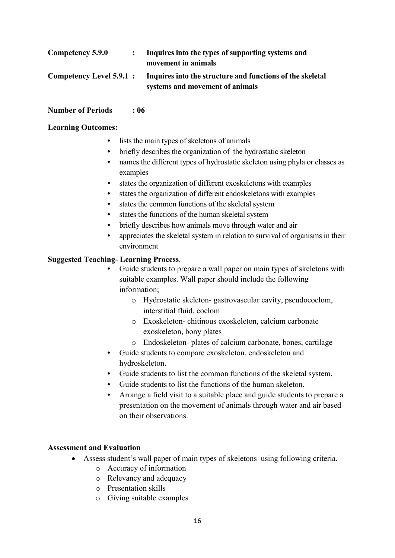| <b>Competency 5.9.0</b>         | Inquires into the types of supporting systems and<br>movement in animals                     |
|---------------------------------|----------------------------------------------------------------------------------------------|
| <b>Competency Level 5.9.1 :</b> | Inquires into the structure and functions of the skeletal<br>systems and movement of animals |

#### **Number of Periods : 06**

#### **Learning Outcomes:**

- lists the main types of skeletons of animals
- briefly describes the organization of the hydrostatic skeleton
- names the different types of hydrostatic skeleton using phyla or classes as examples
- states the organization of different exoskeletons with examples
- states the organization of different endoskeletons with examples
- states the common functions of the skeletal system
- states the functions of the human skeletal system
- briefly describes how animals move through water and air
- appreciates the skeletal system in relation to survival of organisms in their environment

# **Suggested Teaching- Learning Process**.

- Guide students to prepare a wall paper on main types of skeletons with suitable examples. Wall paper should include the following information;
	- o Hydrostatic skeleton- gastrovascular cavity, pseudocoelom, interstitial fluid, coelom
	- o Exoskeleton- chitinous exoskeleton, calcium carbonate exoskeleton, bony plates
	- o Endoskeleton- plates of calcium carbonate, bones, cartilage
- Guide students to compare exoskeleton, endoskeleton and hydroskeleton.
- Guide students to list the common functions of the skeletal system.
- Guide students to list the functions of the human skeleton.
- Arrange a field visit to a suitable place and guide students to prepare a presentation on the movement of animals through water and air based on their observations.

- Assess student's wall paper of main types of skeletons using following criteria.
	- o Accuracy of information
	- o Relevancy and adequacy
	- o Presentation skills
	- o Giving suitable examples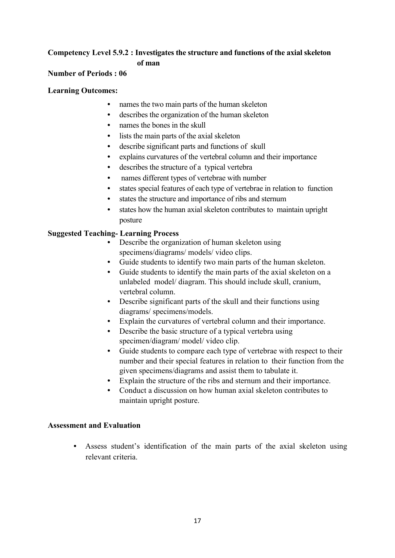# **Competency Level 5.9.2 : Investigates the structure and functions of the axial skeleton of man**

# **Number of Periods : 06**

#### **Learning Outcomes:**

- names the two main parts of the human skeleton
- describes the organization of the human skeleton
- names the bones in the skull
- lists the main parts of the axial skeleton
- describe significant parts and functions of skull
- explains curvatures of the vertebral column and their importance
- describes the structure of a typical vertebra
- names different types of vertebrae with number
- states special features of each type of vertebrae in relation to function
- states the structure and importance of ribs and sternum
- states how the human axial skeleton contributes to maintain upright posture

# **Suggested Teaching- Learning Process**

- Describe the organization of human skeleton using specimens/diagrams/ models/ video clips.
- Guide students to identify two main parts of the human skeleton.
- Guide students to identify the main parts of the axial skeleton on a unlabeled model/ diagram. This should include skull, cranium, vertebral column.
- Describe significant parts of the skull and their functions using diagrams/ specimens/models.
- Explain the curvatures of vertebral column and their importance.
- Describe the basic structure of a typical vertebra using specimen/diagram/ model/ video clip.
- Guide students to compare each type of vertebrae with respect to their number and their special features in relation to their function from the given specimens/diagrams and assist them to tabulate it.
- Explain the structure of the ribs and sternum and their importance.
- Conduct a discussion on how human axial skeleton contributes to maintain upright posture.

# **Assessment and Evaluation**

• Assess student's identification of the main parts of the axial skeleton using relevant criteria.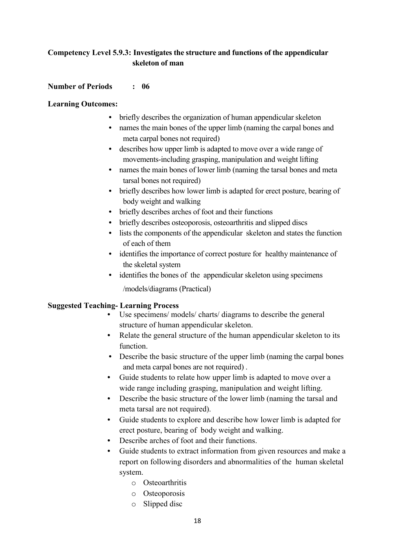# **Competency Level 5.9.3: Investigates the structure and functions of the appendicular skeleton of man**

#### **Number of Periods : 06**

#### **Learning Outcomes:**

- briefly describes the organization of human appendicular skeleton
- names the main bones of the upper limb (naming the carpal bones and meta carpal bones not required)
- describes how upper limb is adapted to move over a wide range of movements-including grasping, manipulation and weight lifting
- names the main bones of lower limb (naming the tarsal bones and meta tarsal bones not required)
- briefly describes how lower limb is adapted for erect posture, bearing of body weight and walking
- briefly describes arches of foot and their functions
- briefly describes osteoporosis, osteoarthritis and slipped discs
- lists the components of the appendicular skeleton and states the function of each of them
- identifies the importance of correct posture for healthy maintenance of the skeletal system
- identifies the bones of the appendicular skeleton using specimens

/models/diagrams (Practical)

# **Suggested Teaching- Learning Process**

- Use specimens/ models/ charts/ diagrams to describe the general structure of human appendicular skeleton.
- Relate the general structure of the human appendicular skeleton to its function.
- Describe the basic structure of the upper limb (naming the carpal bones and meta carpal bones are not required) .
- Guide students to relate how upper limb is adapted to move over a wide range including grasping, manipulation and weight lifting.
- Describe the basic structure of the lower limb (naming the tarsal and meta tarsal are not required).
- Guide students to explore and describe how lower limb is adapted for erect posture, bearing of body weight and walking.
- Describe arches of foot and their functions.
- Guide students to extract information from given resources and make a report on following disorders and abnormalities of the human skeletal system.
	- o Osteoarthritis
	- o Osteoporosis
	- o Slipped disc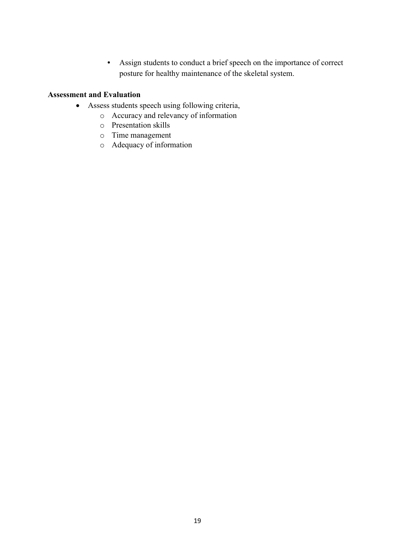• Assign students to conduct a brief speech on the importance of correct posture for healthy maintenance of the skeletal system.

- Assess students speech using following criteria,
	- o Accuracy and relevancy of information
	- o Presentation skills
	- o Time management
	- o Adequacy of information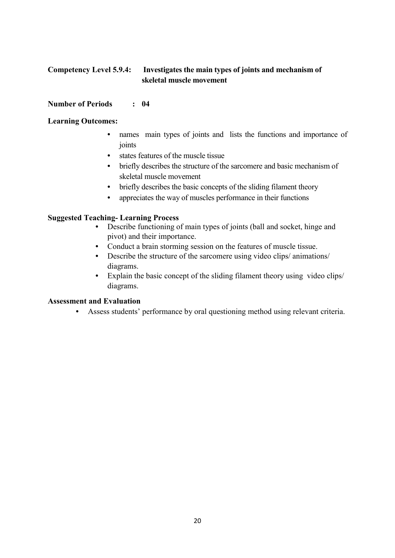# **Competency Level 5.9.4: Investigates the main types of joints and mechanism of skeletal muscle movement**

#### **Number of Periods : 04**

#### **Learning Outcomes:**

- names main types of joints and lists the functions and importance of joints
- states features of the muscle tissue
- briefly describes the structure of the sarcomere and basic mechanism of skeletal muscle movement
- briefly describes the basic concepts of the sliding filament theory
- appreciates the way of muscles performance in their functions

# **Suggested Teaching- Learning Process**

- Describe functioning of main types of joints (ball and socket, hinge and pivot) and their importance.
- Conduct a brain storming session on the features of muscle tissue.
- Describe the structure of the sarcomere using video clips/ animations/ diagrams.
- Explain the basic concept of the sliding filament theory using video clips/ diagrams.

#### **Assessment and Evaluation**

• Assess students' performance by oral questioning method using relevant criteria.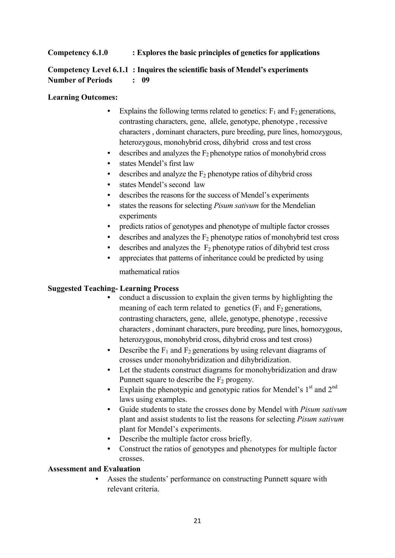# **Competency 6.1.0 : Explores the basic principles of genetics for applications**

# **Competency Level 6.1.1 : Inquires the scientific basis of Mendel's experiments Number of Periods : 09**

#### **Learning Outcomes:**

- Explains the following terms related to genetics:  $F_1$  and  $F_2$  generations, contrasting characters, gene, allele, genotype, phenotype , recessive characters , dominant characters, pure breeding, pure lines, homozygous, heterozygous, monohybrid cross, dihybrid cross and test cross
- $\bullet$  describes and analyzes the  $F_2$  phenotype ratios of monohybrid cross
- states Mendel's first law
- describes and analyze the  $F_2$  phenotype ratios of dihybrid cross
- states Mendel's second law
- describes the reasons for the success of Mendel's experiments
- states the reasons for selecting *Pisum sativum* for the Mendelian experiments
- predicts ratios of genotypes and phenotype of multiple factor crosses
- describes and analyzes the  $F_2$  phenotype ratios of monohybrid test cross
- describes and analyzes the  $F_2$  phenotype ratios of dihybrid test cross
- appreciates that patterns of inheritance could be predicted by using mathematical ratios

#### **Suggested Teaching- Learning Process**

- conduct a discussion to explain the given terms by highlighting the meaning of each term related to genetics  $(F_1$  and  $F_2$  generations, contrasting characters, gene, allele, genotype, phenotype , recessive characters , dominant characters, pure breeding, pure lines, homozygous, heterozygous, monohybrid cross, dihybrid cross and test cross)
- Describe the  $F_1$  and  $F_2$  generations by using relevant diagrams of crosses under monohybridization and dihybridization.
- Let the students construct diagrams for monohybridization and draw Punnett square to describe the  $F_2$  progeny.
- Explain the phenotypic and genotypic ratios for Mendel's  $1<sup>st</sup>$  and  $2<sup>nd</sup>$ laws using examples.
- Guide students to state the crosses done by Mendel with *Pisum sativum*  plant and assist students to list the reasons for selecting *Pisum sativum*  plant for Mendel's experiments.
- Describe the multiple factor cross briefly.
- Construct the ratios of genotypes and phenotypes for multiple factor crosses.

#### **Assessment and Evaluation**

Asses the students' performance on constructing Punnett square with relevant criteria.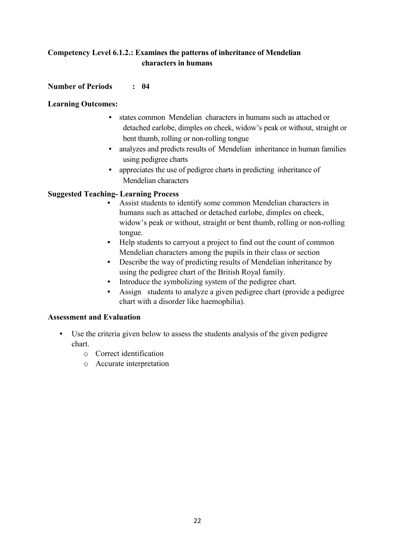# **Competency Level 6.1.2.: Examines the patterns of inheritance of Mendelian characters in humans**

# **Number of Periods : 04**

#### **Learning Outcomes:**

- states common Mendelian characters in humans such as attached or detached earlobe, dimples on cheek, widow's peak or without, straight or bent thumb, rolling or non-rolling tongue
- analyzes and predicts results of Mendelian inheritance in human families using pedigree charts
- appreciates the use of pedigree charts in predicting inheritance of Mendelian characters

# **Suggested Teaching- Learning Process**

- Assist students to identify some common Mendelian characters in humans such as attached or detached earlobe, dimples on cheek, widow's peak or without, straight or bent thumb, rolling or non-rolling tongue.
- Help students to carryout a project to find out the count of common Mendelian characters among the pupils in their class or section
- Describe the way of predicting results of Mendelian inheritance by using the pedigree chart of the British Royal family.
- Introduce the symbolizing system of the pedigree chart.
- Assign students to analyze a given pedigree chart (provide a pedigree chart with a disorder like haemophilia).

- Use the criteria given below to assess the students analysis of the given pedigree chart.
	- o Correct identification
	- o Accurate interpretation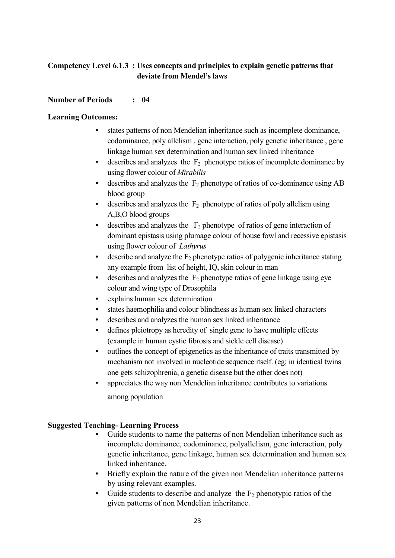# **Competency Level 6.1.3 : Uses concepts and principles to explain genetic patterns that deviate from Mendel's laws**

# **Number of Periods : 04**

# **Learning Outcomes:**

- states patterns of non Mendelian inheritance such as incomplete dominance, codominance, poly allelism , gene interaction, poly genetic inheritance , gene linkage human sex determination and human sex linked inheritance
- describes and analyzes the  $F_2$  phenotype ratios of incomplete dominance by using flower colour of *Mirabilis*
- describes and analyzes the  $F_2$  phenotype of ratios of co-dominance using AB blood group
- describes and analyzes the  $F_2$  phenotype of ratios of poly allelism using A,B,O blood groups
- describes and analyzes the  $F_2$  phenotype of ratios of gene interaction of dominant epistasis using plumage colour of house fowl and recessive epistasis using flower colour of *Lathyrus*
- describe and analyze the  $F_2$  phenotype ratios of polygenic inheritance stating any example from list of height, IQ, skin colour in man
- describes and analyzes the  $F_2$  phenotype ratios of gene linkage using eye colour and wing type of Drosophila
- explains human sex determination
- states haemophilia and colour blindness as human sex linked characters
- describes and analyzes the human sex linked inheritance
- defines pleiotropy as heredity of single gene to have multiple effects (example in human cystic fibrosis and sickle cell disease)
- outlines the concept of epigenetics as the inheritance of traits transmitted by mechanism not involved in nucleotide sequence itself. (eg; in identical twins one gets schizophrenia, a genetic disease but the other does not)
- appreciates the way non Mendelian inheritance contributes to variations among population

# **Suggested Teaching- Learning Process**

- Guide students to name the patterns of non Mendelian inheritance such as incomplete dominance, codominance, polyallelism, gene interaction, poly genetic inheritance, gene linkage, human sex determination and human sex linked inheritance.
- Briefly explain the nature of the given non Mendelian inheritance patterns by using relevant examples.
- Guide students to describe and analyze the  $F_2$  phenotypic ratios of the given patterns of non Mendelian inheritance.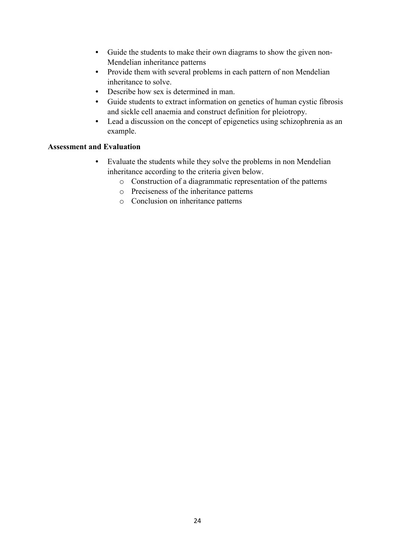- Guide the students to make their own diagrams to show the given non-Mendelian inheritance patterns
- Provide them with several problems in each pattern of non Mendelian inheritance to solve.
- Describe how sex is determined in man.
- Guide students to extract information on genetics of human cystic fibrosis and sickle cell anaemia and construct definition for pleiotropy.
- Lead a discussion on the concept of epigenetics using schizophrenia as an example.

- Evaluate the students while they solve the problems in non Mendelian inheritance according to the criteria given below.
	- o Construction of a diagrammatic representation of the patterns
	- o Preciseness of the inheritance patterns
	- o Conclusion on inheritance patterns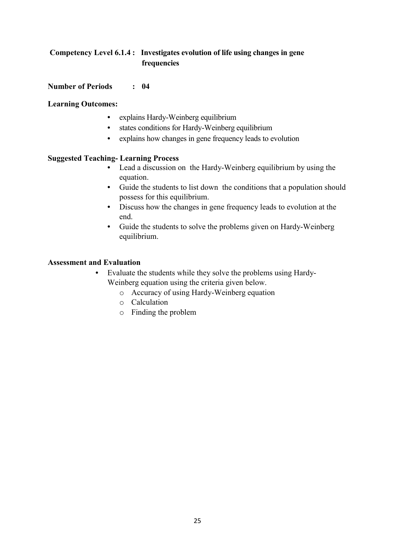# **Competency Level 6.1.4 : Investigates evolution of life using changes in gene frequencies**

#### **Number of Periods : 04**

#### **Learning Outcomes:**

- explains Hardy-Weinberg equilibrium
- states conditions for Hardy-Weinberg equilibrium
- explains how changes in gene frequency leads to evolution

#### **Suggested Teaching- Learning Process**

- Lead a discussion on the Hardy-Weinberg equilibrium by using the equation.
- Guide the students to list down the conditions that a population should possess for this equilibrium.
- Discuss how the changes in gene frequency leads to evolution at the end.
- Guide the students to solve the problems given on Hardy-Weinberg equilibrium.

- Evaluate the students while they solve the problems using Hardy-Weinberg equation using the criteria given below.
	- o Accuracy of using Hardy-Weinberg equation
	- o Calculation
	- o Finding the problem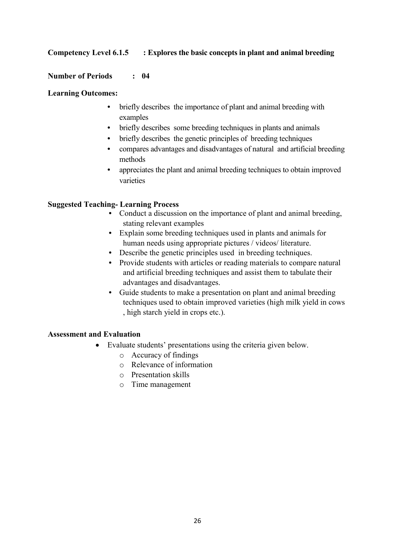# **Competency Level 6.1.5 : Explores the basic concepts in plant and animal breeding**

#### **Number of Periods : 04**

#### **Learning Outcomes:**

- briefly describes the importance of plant and animal breeding with examples
- briefly describes some breeding techniques in plants and animals
- briefly describes the genetic principles of breeding techniques
- compares advantages and disadvantages of natural and artificial breeding methods
- appreciates the plant and animal breeding techniques to obtain improved varieties

#### **Suggested Teaching- Learning Process**

- Conduct a discussion on the importance of plant and animal breeding, stating relevant examples
- Explain some breeding techniques used in plants and animals for human needs using appropriate pictures / videos/ literature.
- Describe the genetic principles used in breeding techniques.
- Provide students with articles or reading materials to compare natural and artificial breeding techniques and assist them to tabulate their advantages and disadvantages.
- Guide students to make a presentation on plant and animal breeding techniques used to obtain improved varieties (high milk yield in cows , high starch yield in crops etc.).

- Evaluate students' presentations using the criteria given below.
	- o Accuracy of findings
	- o Relevance of information
	- o Presentation skills
	- o Time management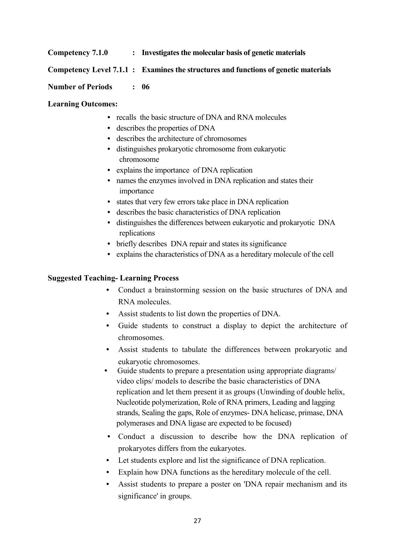#### **Competency 7.1.0 : Investigates the molecular basis of genetic materials**

#### **Competency Level 7.1.1 : Examines the structures and functions of genetic materials**

#### **Number of Periods : 06**

#### **Learning Outcomes:**

- recalls the basic structure of DNA and RNA molecules
- describes the properties of DNA
- describes the architecture of chromosomes
- distinguishes prokaryotic chromosome from eukaryotic chromosome
- explains the importance of DNA replication
- names the enzymes involved in DNA replication and states their importance
- states that very few errors take place in DNA replication
- describes the basic characteristics of DNA replication
- distinguishes the differences between eukaryotic and prokaryotic DNA replications
- briefly describes DNA repair and states its significance
- explains the characteristics of DNA as a hereditary molecule of the cell

#### **Suggested Teaching- Learning Process**

- Conduct a brainstorming session on the basic structures of DNA and RNA molecules.
- Assist students to list down the properties of DNA.
- Guide students to construct a display to depict the architecture of chromosomes.
- Assist students to tabulate the differences between prokaryotic and eukaryotic chromosomes.
- Guide students to prepare a presentation using appropriate diagrams/ video clips/ models to describe the basic characteristics of DNA replication and let them present it as groups (Unwinding of double helix, Nucleotide polymerization, Role of RNA primers, Leading and lagging strands, Sealing the gaps, Role of enzymes- DNA helicase, primase, DNA polymerases and DNA ligase are expected to be focused)
- Conduct a discussion to describe how the DNA replication of prokaryotes differs from the eukaryotes.
- Let students explore and list the significance of DNA replication.
- Explain how DNA functions as the hereditary molecule of the cell.
- Assist students to prepare a poster on 'DNA repair mechanism and its significance' in groups.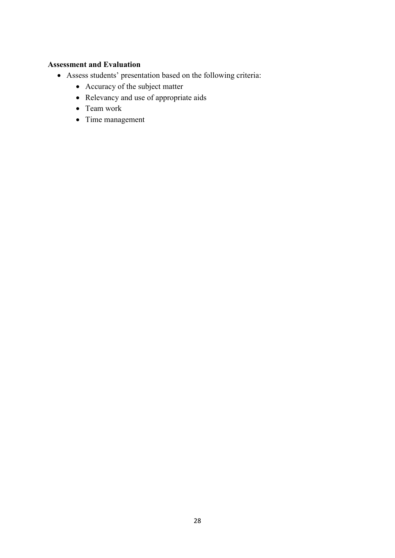- Assess students' presentation based on the following criteria:
	- Accuracy of the subject matter
	- Relevancy and use of appropriate aids
	- Team work
	- Time management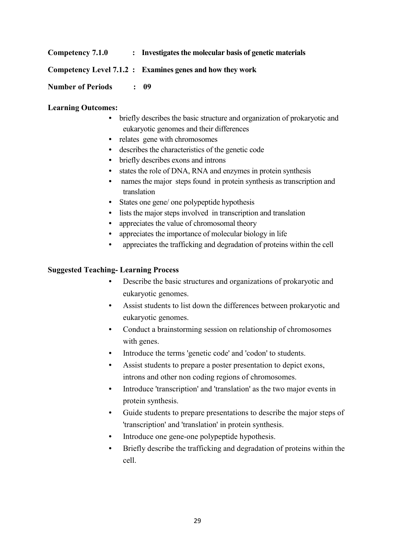#### **Competency 7.1.0 : Investigates the molecular basis of genetic materials**

#### **Competency Level 7.1.2 : Examines genes and how they work**

#### **Number of Periods : 09**

#### **Learning Outcomes:**

- briefly describes the basic structure and organization of prokaryotic and eukaryotic genomes and their differences
- relates gene with chromosomes
- describes the characteristics of the genetic code
- briefly describes exons and introns
- states the role of DNA, RNA and enzymes in protein synthesis
- names the major steps found in protein synthesis as transcription and translation
- States one gene/ one polypeptide hypothesis
- lists the major steps involved in transcription and translation
- appreciates the value of chromosomal theory
- appreciates the importance of molecular biology in life
- appreciates the trafficking and degradation of proteins within the cell

#### **Suggested Teaching- Learning Process**

- Describe the basic structures and organizations of prokaryotic and eukaryotic genomes.
- Assist students to list down the differences between prokaryotic and eukaryotic genomes.
- Conduct a brainstorming session on relationship of chromosomes with genes.
- Introduce the terms 'genetic code' and 'codon' to students.
- Assist students to prepare a poster presentation to depict exons, introns and other non coding regions of chromosomes.
- Introduce 'transcription' and 'translation' as the two major events in protein synthesis.
- Guide students to prepare presentations to describe the major steps of 'transcription' and 'translation' in protein synthesis.
- Introduce one gene-one polypeptide hypothesis.
- Briefly describe the trafficking and degradation of proteins within the cell.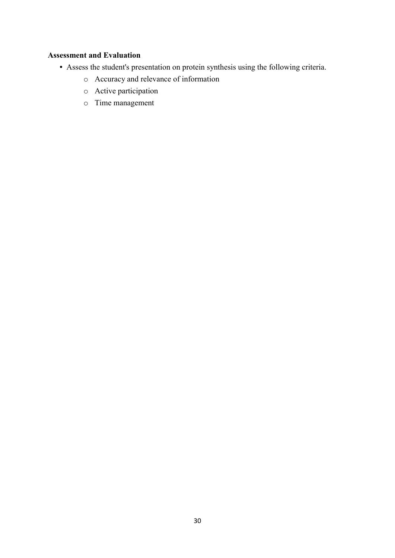- Assess the student's presentation on protein synthesis using the following criteria.
	- o Accuracy and relevance of information
	- o Active participation
	- o Time management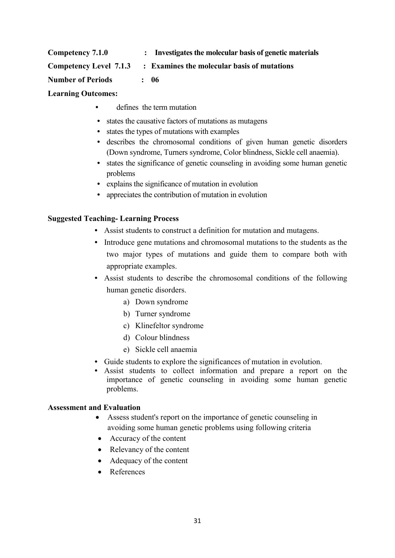| Competency 7.1.0              | $\mathcal{L}$ | Investigates the molecular basis of genetic materials |
|-------------------------------|---------------|-------------------------------------------------------|
| <b>Competency Level 7.1.3</b> |               | : Examines the molecular basis of mutations           |
| <b>Number of Periods</b>      |               | : 06                                                  |

# **Learning Outcomes:**

- defines the term mutation
- states the causative factors of mutations as mutagens
- states the types of mutations with examples
- describes the chromosomal conditions of given human genetic disorders (Down syndrome, Turners syndrome, Color blindness, Sickle cell anaemia).
- states the significance of genetic counseling in avoiding some human genetic problems
- explains the significance of mutation in evolution
- appreciates the contribution of mutation in evolution

#### **Suggested Teaching- Learning Process**

- Assist students to construct a definition for mutation and mutagens.
- Introduce gene mutations and chromosomal mutations to the students as the two major types of mutations and guide them to compare both with appropriate examples.
- Assist students to describe the chromosomal conditions of the following human genetic disorders.
	- a) Down syndrome
	- b) Turner syndrome
	- c) Klinefeltor syndrome
	- d) Colour blindness
	- e) Sickle cell anaemia
- Guide students to explore the significances of mutation in evolution.
- Assist students to collect information and prepare a report on the importance of genetic counseling in avoiding some human genetic problems.

- Assess student's report on the importance of genetic counseling in avoiding some human genetic problems using following criteria
- Accuracy of the content
- Relevancy of the content
- Adequacy of the content
- References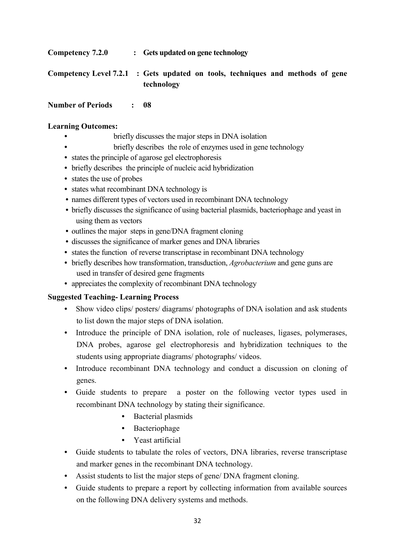**Competency 7.2.0 : Gets updated on gene technology**

**Competency Level 7.2.1 : Gets updated on tools, techniques and methods of gene technology**

# **Number of Periods : 08**

# **Learning Outcomes:**

- briefly discusses the major steps in DNA isolation
	- briefly describes the role of enzymes used in gene technology
- states the principle of agarose gel electrophoresis
- briefly describes the principle of nucleic acid hybridization
- states the use of probes
- states what recombinant DNA technology is
- names different types of vectors used in recombinant DNA technology
- briefly discusses the significance of using bacterial plasmids, bacteriophage and yeast in using them as vectors
- outlines the major steps in gene/DNA fragment cloning
- discusses the significance of marker genes and DNA libraries
- states the function of reverse transcriptase in recombinant DNA technology
- briefly describes how transformation, transduction, *Agrobacterium* and gene guns are used in transfer of desired gene fragments
- appreciates the complexity of recombinant DNA technology

# **Suggested Teaching- Learning Process**

- Show video clips/ posters/ diagrams/ photographs of DNA isolation and ask students to list down the major steps of DNA isolation.
- Introduce the principle of DNA isolation, role of nucleases, ligases, polymerases, DNA probes, agarose gel electrophoresis and hybridization techniques to the students using appropriate diagrams/ photographs/ videos.
- Introduce recombinant DNA technology and conduct a discussion on cloning of genes.
- Guide students to prepare a poster on the following vector types used in recombinant DNA technology by stating their significance.
	- Bacterial plasmids
	- Bacteriophage
	- Yeast artificial
- Guide students to tabulate the roles of vectors, DNA libraries, reverse transcriptase and marker genes in the recombinant DNA technology.
- Assist students to list the major steps of gene/ DNA fragment cloning.
- Guide students to prepare a report by collecting information from available sources on the following DNA delivery systems and methods.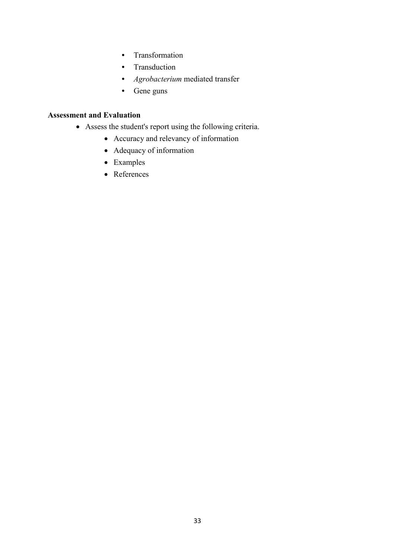- Transformation
- Transduction
- *Agrobacterium* mediated transfer
- Gene guns

- Assess the student's report using the following criteria.
	- Accuracy and relevancy of information
	- Adequacy of information
	- Examples
	- References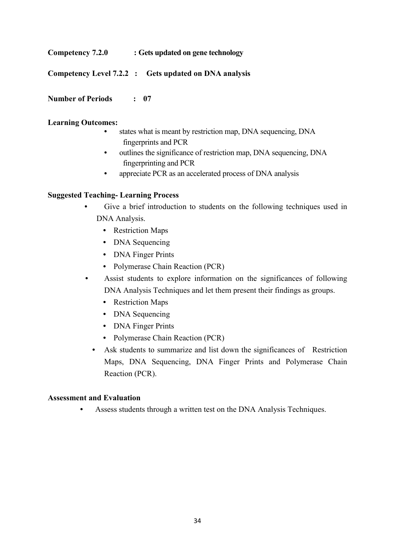**Competency 7.2.0 : Gets updated on gene technology**

**Competency Level 7.2.2 : Gets updated on DNA analysis**

**Number of Periods : 07**

# **Learning Outcomes:**

- states what is meant by restriction map, DNA sequencing, DNA fingerprints and PCR
- outlines the significance of restriction map, DNA sequencing, DNA fingerprinting and PCR
- appreciate PCR as an accelerated process of DNA analysis

# **Suggested Teaching- Learning Process**

- Give a brief introduction to students on the following techniques used in DNA Analysis.
	- Restriction Maps
	- DNA Sequencing
	- DNA Finger Prints
	- Polymerase Chain Reaction (PCR)
- Assist students to explore information on the significances of following DNA Analysis Techniques and let them present their findings as groups.
	- Restriction Maps
	- DNA Sequencing
	- DNA Finger Prints
	- Polymerase Chain Reaction (PCR)
	- Ask students to summarize and list down the significances of Restriction Maps, DNA Sequencing, DNA Finger Prints and Polymerase Chain Reaction (PCR).

# **Assessment and Evaluation**

• Assess students through a written test on the DNA Analysis Techniques.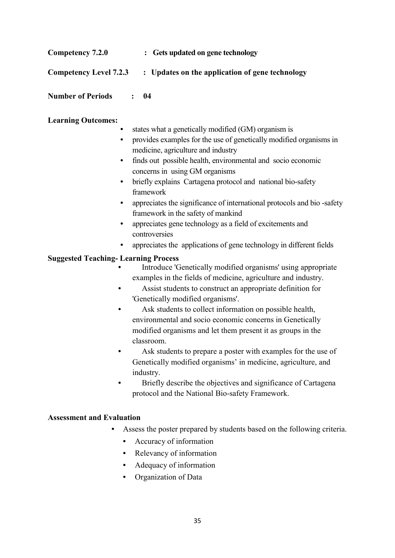| Competency 7.2.0              | : Gets updated on gene technology               |
|-------------------------------|-------------------------------------------------|
| <b>Competency Level 7.2.3</b> | : Updates on the application of gene technology |

**Number of Periods : 04**

# **Learning Outcomes:**

- states what a genetically modified (GM) organism is
- provides examples for the use of genetically modified organisms in medicine, agriculture and industry
- finds out possible health, environmental and socio economic concerns in using GM organisms
- briefly explains Cartagena protocol and national bio-safety framework
- appreciates the significance of international protocols and bio-safety framework in the safety of mankind
- appreciates gene technology as a field of excitements and controversies
- appreciates the applications of gene technology in different fields

# **Suggested Teaching- Learning Process**

- Introduce 'Genetically modified organisms' using appropriate examples in the fields of medicine, agriculture and industry.
- Assist students to construct an appropriate definition for 'Genetically modified organisms'.
- Ask students to collect information on possible health, environmental and socio economic concerns in Genetically modified organisms and let them present it as groups in the classroom.
- Ask students to prepare a poster with examples for the use of Genetically modified organisms' in medicine, agriculture, and industry.
- Briefly describe the objectives and significance of Cartagena protocol and the National Bio-safety Framework.

- Assess the poster prepared by students based on the following criteria.
	- Accuracy of information
	- Relevancy of information
	- Adequacy of information
	- Organization of Data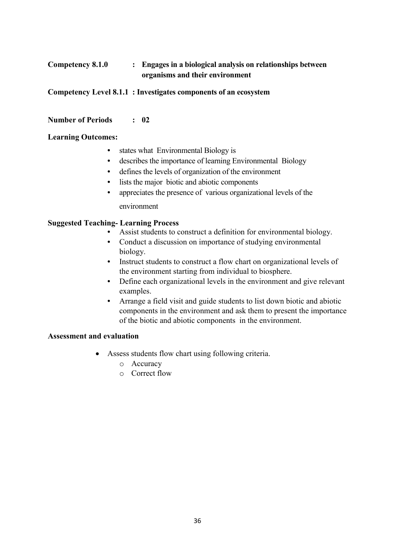# **Competency 8.1.0 : Engages in a biological analysis on relationships between organisms and their environment**

**Competency Level 8.1.1 : Investigates components of an ecosystem**

#### **Number of Periods : 02**

#### **Learning Outcomes:**

- states what Environmental Biology is
- describes the importance of learning Environmental Biology
- defines the levels of organization of the environment
- lists the major biotic and abiotic components
- appreciates the presence of various organizational levels of the environment

#### **Suggested Teaching- Learning Process**

- Assist students to construct a definition for environmental biology.
- Conduct a discussion on importance of studying environmental biology.
- Instruct students to construct a flow chart on organizational levels of the environment starting from individual to biosphere.
- Define each organizational levels in the environment and give relevant examples.
- Arrange a field visit and guide students to list down biotic and abiotic components in the environment and ask them to present the importance of the biotic and abiotic components in the environment.

- Assess students flow chart using following criteria.
	- o Accuracy
	- o Correct flow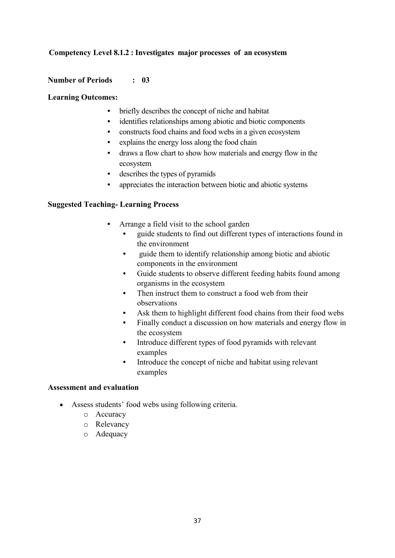# **Competency Level 8.1.2 : Investigates major processes of an ecosystem**

#### **Number of Periods : 03**

#### **Learning Outcomes:**

- briefly describes the concept of niche and habitat
- identifies relationships among abiotic and biotic components
- constructs food chains and food webs in a given ecosystem
- explains the energy loss along the food chain
- draws a flow chart to show how materials and energy flow in the ecosystem
- describes the types of pyramids
- appreciates the interaction between biotic and abiotic systems

#### **Suggested Teaching- Learning Process**

- Arrange a field visit to the school garden
	- guide students to find out different types of interactions found in the environment
	- guide them to identify relationship among biotic and abiotic components in the environment
	- Guide students to observe different feeding habits found among organisms in the ecosystem
	- Then instruct them to construct a food web from their observations
	- Ask them to highlight different food chains from their food webs
	- Finally conduct a discussion on how materials and energy flow in the ecosystem
	- Introduce different types of food pyramids with relevant examples
	- Introduce the concept of niche and habitat using relevant examples

- Assess students' food webs using following criteria.
	- o Accuracy
	- o Relevancy
	- o Adequacy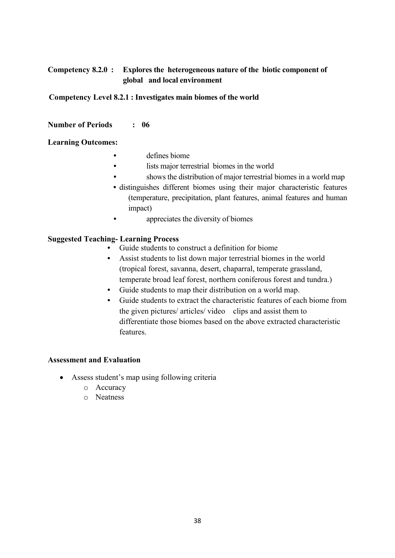# **Competency 8.2.0 : Explores the heterogeneous nature of the biotic component of global and local environment**

**Competency Level 8.2.1 : Investigates main biomes of the world**

#### **Number of Periods : 06**

#### **Learning Outcomes:**

- defines biome
- lists major terrestrial biomes in the world
- shows the distribution of major terrestrial biomes in a world map
- distinguishes different biomes using their major characteristic features (temperature, precipitation, plant features, animal features and human impact)
- **appreciates the diversity of biomes**

#### **Suggested Teaching- Learning Process**

- Guide students to construct a definition for biome
- Assist students to list down major terrestrial biomes in the world (tropical forest, savanna, desert, chaparral, temperate grassland, temperate broad leaf forest, northern coniferous forest and tundra.)
- Guide students to map their distribution on a world map.
- Guide students to extract the characteristic features of each biome from the given pictures/ articles/ video clips and assist them to differentiate those biomes based on the above extracted characteristic features.

- Assess student's map using following criteria
	- o Accuracy
	- o Neatness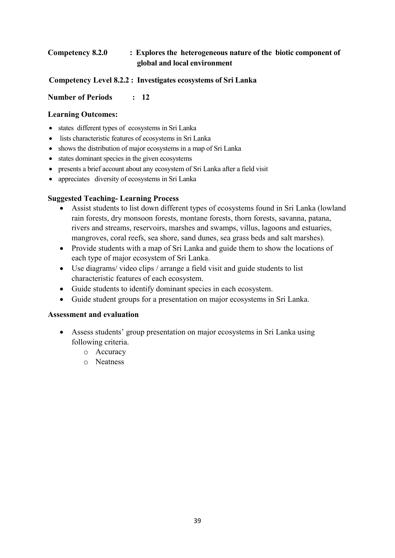# **Competency 8.2.0 : Explores the heterogeneous nature of the biotic component of global and local environment**

# **Competency Level 8.2.2 : Investigates ecosystems of Sri Lanka**

# **Number of Periods : 12**

# **Learning Outcomes:**

- states different types of ecosystems in Sri Lanka
- lists characteristic features of ecosystems in Sri Lanka
- shows the distribution of major ecosystems in a map of Sri Lanka
- states dominant species in the given ecosystems
- presents a brief account about any ecosystem of Sri Lanka after a field visit
- appreciates diversity of ecosystems in Sri Lanka

# **Suggested Teaching- Learning Process**

- Assist students to list down different types of ecosystems found in Sri Lanka (lowland rain forests, dry monsoon forests, montane forests, thorn forests, savanna, patana, rivers and streams, reservoirs, marshes and swamps, villus, lagoons and estuaries, mangroves, coral reefs, sea shore, sand dunes, sea grass beds and salt marshes).
- Provide students with a map of Sri Lanka and guide them to show the locations of each type of major ecosystem of Sri Lanka.
- Use diagrams/ video clips / arrange a field visit and guide students to list characteristic features of each ecosystem.
- Guide students to identify dominant species in each ecosystem.
- Guide student groups for a presentation on major ecosystems in Sri Lanka.

- Assess students' group presentation on major ecosystems in Sri Lanka using following criteria.
	- o Accuracy
	- o Neatness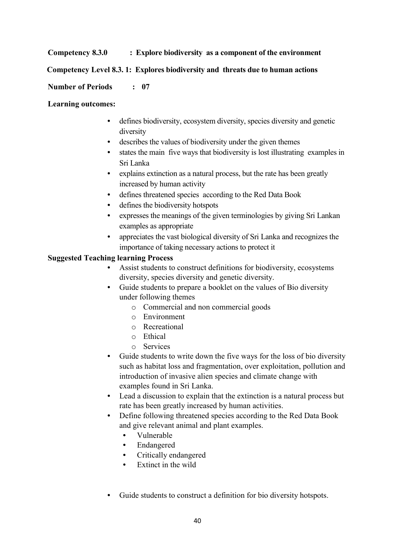# **Competency 8.3.0 : Explore biodiversity as a component of the environment**

#### **Competency Level 8.3. 1: Explores biodiversity and threats due to human actions**

#### **Number of Periods : 07**

#### **Learning outcomes:**

- defines biodiversity, ecosystem diversity, species diversity and genetic diversity
- describes the values of biodiversity under the given themes
- states the main five ways that biodiversity is lost illustrating examples in Sri Lanka
- explains extinction as a natural process, but the rate has been greatly increased by human activity
- defines threatened species according to the Red Data Book
- defines the biodiversity hotspots
- expresses the meanings of the given terminologies by giving Sri Lankan examples as appropriate
- appreciates the vast biological diversity of Sri Lanka and recognizes the importance of taking necessary actions to protect it

#### **Suggested Teaching learning Process**

- Assist students to construct definitions for biodiversity, ecosystems diversity, species diversity and genetic diversity.
- Guide students to prepare a booklet on the values of Bio diversity under following themes
	- o Commercial and non commercial goods
	- o Environment
	- o Recreational
	- o Ethical
	- o Services
- Guide students to write down the five ways for the loss of bio diversity such as habitat loss and fragmentation, over exploitation, pollution and introduction of invasive alien species and climate change with examples found in Sri Lanka.
- Lead a discussion to explain that the extinction is a natural process but rate has been greatly increased by human activities.
- Define following threatened species according to the Red Data Book and give relevant animal and plant examples.
	- Vulnerable
	- Endangered
	- Critically endangered
	- Extinct in the wild
- Guide students to construct a definition for bio diversity hotspots.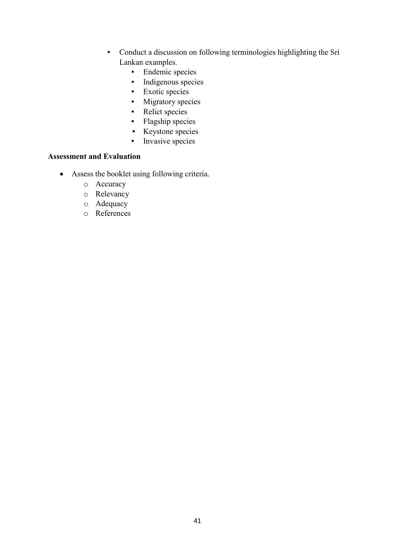- Conduct a discussion on following terminologies highlighting the Sri Lankan examples.
	- Endemic species
	- Indigenous species
	- Exotic species
	- Migratory species
	- Relict species
	- Flagship species
	- Keystone species
	- Invasive species

- Assess the booklet using following criteria.
	- o Accuracy
	- o Relevancy
	- o Adequacy
	- o References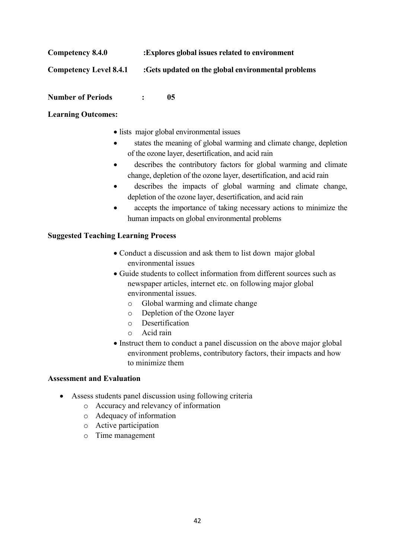| Competency 8.4.0       | : Explores global issues related to environment    |
|------------------------|----------------------------------------------------|
| Competency Level 8.4.1 | :Gets updated on the global environmental problems |
|                        |                                                    |

# **Number of Periods : 05**

# **Learning Outcomes:**

- lists major global environmental issues
- states the meaning of global warming and climate change, depletion of the ozone layer, desertification, and acid rain
- describes the contributory factors for global warming and climate change, depletion of the ozone layer, desertification, and acid rain
- describes the impacts of global warming and climate change, depletion of the ozone layer, desertification, and acid rain
- accepts the importance of taking necessary actions to minimize the human impacts on global environmental problems

# **Suggested Teaching Learning Process**

- Conduct a discussion and ask them to list down major global environmental issues
- Guide students to collect information from different sources such as newspaper articles, internet etc. on following major global environmental issues.
	- o Global warming and climate change
	- o Depletion of the Ozone layer
	- o Desertification
	- o Acid rain
- Instruct them to conduct a panel discussion on the above major global environment problems, contributory factors, their impacts and how to minimize them

- Assess students panel discussion using following criteria
	- o Accuracy and relevancy of information
	- o Adequacy of information
	- o Active participation
	- o Time management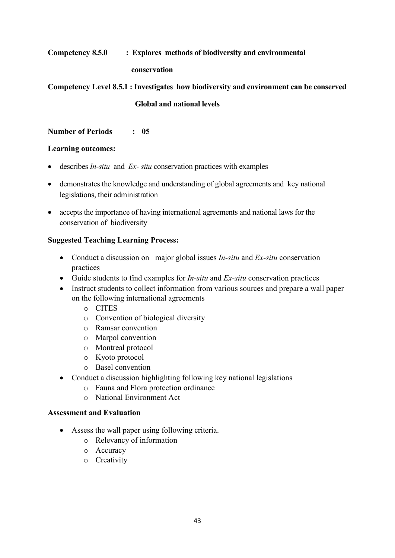# **Competency 8.5.0 : Explores methods of biodiversity and environmental**

#### **conservation**

**Competency Level 8.5.1 : Investigates how biodiversity and environment can be conserved Global and national levels**

**Number of Periods : 05**

# **Learning outcomes:**

- describes *In-situ* and *Ex- situ* conservation practices with examples
- demonstrates the knowledge and understanding of global agreements and key national legislations, their administration
- accepts the importance of having international agreements and national laws for the conservation of biodiversity

# **Suggested Teaching Learning Process:**

- Conduct a discussion on major global issues *In-situ* and *Ex-situ* conservation practices
- Guide students to find examples for *In-situ* and *Ex-situ* conservation practices
- Instruct students to collect information from various sources and prepare a wall paper on the following international agreements
	- o CITES
	- o Convention of biological diversity
	- o Ramsar convention
	- o Marpol convention
	- o Montreal protocol
	- o Kyoto protocol
	- o Basel convention
- Conduct a discussion highlighting following key national legislations
	- o Fauna and Flora protection ordinance
	- o National Environment Act

- Assess the wall paper using following criteria.
	- o Relevancy of information
	- o Accuracy
	- o Creativity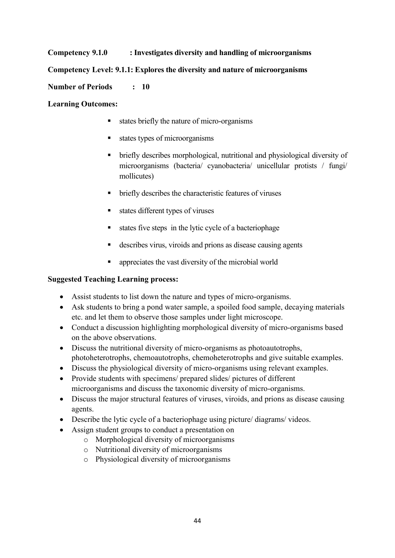# **Competency 9.1.0 : Investigates diversity and handling of microorganisms**

# **Competency Level: 9.1.1: Explores the diversity and nature of microorganisms**

# **Number of Periods : 10**

#### **Learning Outcomes:**

- states briefly the nature of micro-organisms
- states types of microorganisms
- briefly describes morphological, nutritional and physiological diversity of microorganisms (bacteria/ cyanobacteria/ unicellular protists / fungi/ mollicutes)
- briefly describes the characteristic features of viruses
- states different types of viruses
- states five steps in the lytic cycle of a bacteriophage
- describes virus, viroids and prions as disease causing agents
- appreciates the vast diversity of the microbial world

# **Suggested Teaching Learning process:**

- Assist students to list down the nature and types of micro-organisms.
- Ask students to bring a pond water sample, a spoiled food sample, decaying materials etc. and let them to observe those samples under light microscope.
- Conduct a discussion highlighting morphological diversity of micro-organisms based on the above observations.
- Discuss the nutritional diversity of micro-organisms as photoautotrophs, photoheterotrophs, chemoautotrophs, chemoheterotrophs and give suitable examples.
- Discuss the physiological diversity of micro-organisms using relevant examples.
- Provide students with specimens/ prepared slides/ pictures of different microorganisms and discuss the taxonomic diversity of micro-organisms.
- Discuss the major structural features of viruses, viroids, and prions as disease causing agents.
- Describe the lytic cycle of a bacteriophage using picture/ diagrams/ videos.
- Assign student groups to conduct a presentation on
	- o Morphological diversity of microorganisms
	- o Nutritional diversity of microorganisms
	- o Physiological diversity of microorganisms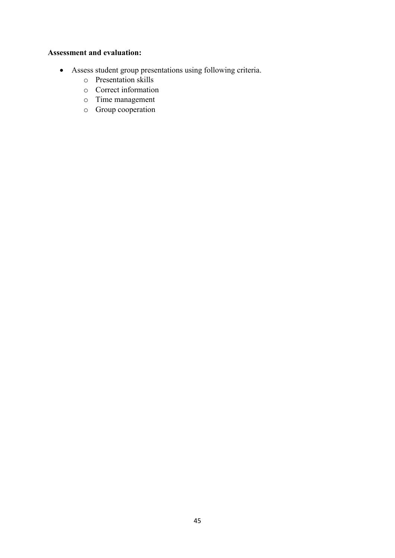- Assess student group presentations using following criteria.
	- o Presentation skills
	- o Correct information
	- o Time management
	- o Group cooperation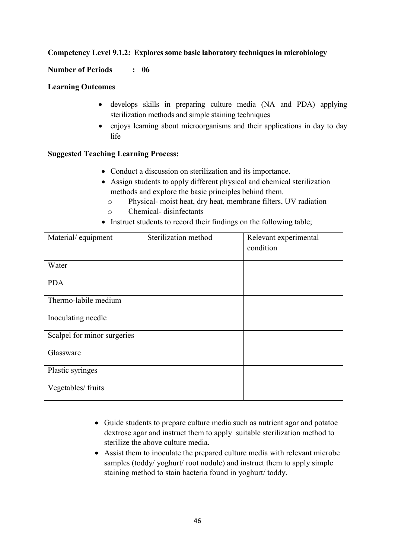# **Competency Level 9.1.2: Explores some basic laboratory techniques in microbiology**

#### **Number of Periods : 06**

#### **Learning Outcomes**

- develops skills in preparing culture media (NA and PDA) applying sterilization methods and simple staining techniques
- enjoys learning about microorganisms and their applications in day to day life

#### **Suggested Teaching Learning Process:**

- Conduct a discussion on sterilization and its importance.
- Assign students to apply different physical and chemical sterilization methods and explore the basic principles behind them.
	- o Physical- moist heat, dry heat, membrane filters, UV radiation
	- o Chemical- disinfectants
- Instruct students to record their findings on the following table;

| Material/equipment          | Sterilization method | Relevant experimental |
|-----------------------------|----------------------|-----------------------|
|                             |                      | condition             |
|                             |                      |                       |
| Water                       |                      |                       |
| <b>PDA</b>                  |                      |                       |
| Thermo-labile medium        |                      |                       |
| Inoculating needle          |                      |                       |
| Scalpel for minor surgeries |                      |                       |
| Glassware                   |                      |                       |
| Plastic syringes            |                      |                       |
| Vegetables/ fruits          |                      |                       |

- Guide students to prepare culture media such as nutrient agar and potatoe dextrose agar and instruct them to apply suitable sterilization method to sterilize the above culture media.
- Assist them to inoculate the prepared culture media with relevant microbe samples (toddy/ yoghurt/ root nodule) and instruct them to apply simple staining method to stain bacteria found in yoghurt/ toddy.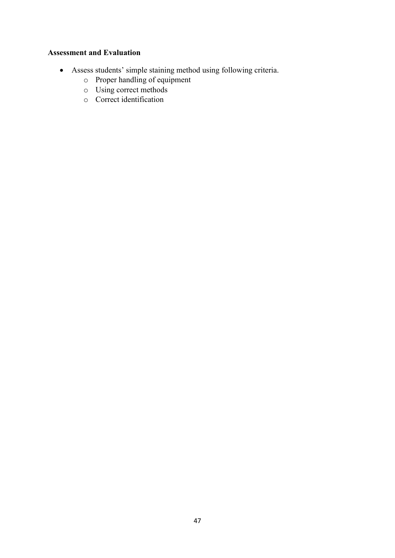- Assess students' simple staining method using following criteria.
	- o Proper handling of equipment
	- o Using correct methods
	- o Correct identification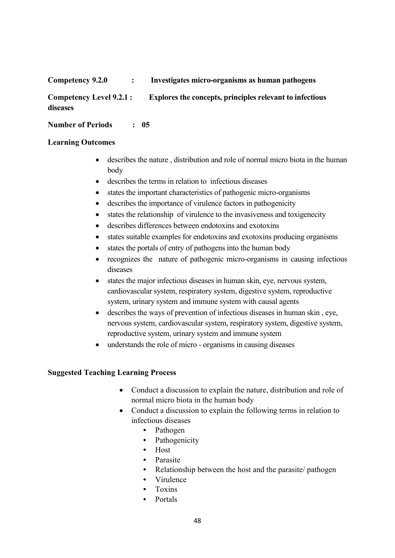# **Competency 9.2.0 : Investigates micro-organisms as human pathogens**

**Competency Level 9.2.1 : Explores the concepts, principles relevant to infectious diseases**

**Number of Periods : 05**

# **Learning Outcomes**

- describes the nature , distribution and role of normal micro biota in the human body
- describes the terms in relation to infectious diseases
- states the important characteristics of pathogenic micro-organisms
- describes the importance of virulence factors in pathogenicity
- states the relationship of virulence to the invasiveness and toxigenecity
- describes differences between endotoxins and exotoxins
- states suitable examples for endotoxins and exotoxins producing organisms
- states the portals of entry of pathogens into the human body
- recognizes the nature of pathogenic micro-organisms in causing infectious diseases
- states the major infectious diseases in human skin, eye, nervous system, cardiovascular system, respiratory system, digestive system, reproductive system, urinary system and immune system with causal agents
- describes the ways of prevention of infectious diseases in human skin , eye, nervous system, cardiovascular system, respiratory system, digestive system, reproductive system, urinary system and immune system
- understands the role of micro organisms in causing diseases

# **Suggested Teaching Learning Process**

- Conduct a discussion to explain the nature, distribution and role of normal micro biota in the human body
- Conduct a discussion to explain the following terms in relation to infectious diseases
	- Pathogen
	- Pathogenicity
	- Host
	- Parasite
	- Relationship between the host and the parasite/ pathogen
	- Virulence
	- Toxins
	- Portals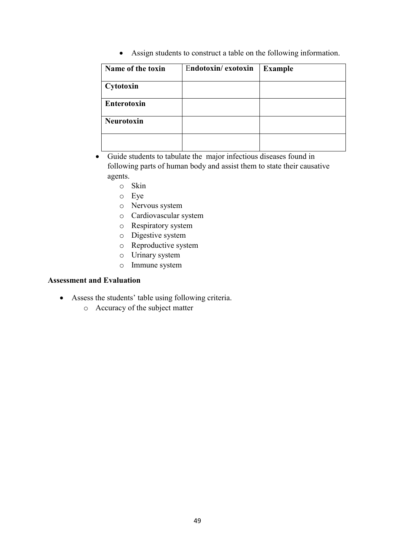Assign students to construct a table on the following information.

| Name of the toxin | Endotoxin/exotoxin | <b>Example</b> |
|-------------------|--------------------|----------------|
| Cytotoxin         |                    |                |
| Enterotoxin       |                    |                |
| <b>Neurotoxin</b> |                    |                |
|                   |                    |                |

- Guide students to tabulate the major infectious diseases found in following parts of human body and assist them to state their causative agents.
	- o Skin
	- o Eye
	- o Nervous system
	- o Cardiovascular system
	- o Respiratory system
	- o Digestive system
	- o Reproductive system
	- o Urinary system
	- o Immune system

- Assess the students' table using following criteria.
	- o Accuracy of the subject matter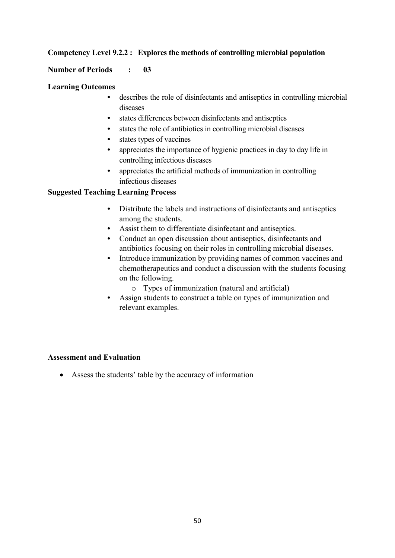# **Competency Level 9.2.2 : Explores the methods of controlling microbial population**

#### **Number of Periods : 03**

#### **Learning Outcomes**

- describes the role of disinfectants and antiseptics in controlling microbial diseases
- states differences between disinfectants and antiseptics
- states the role of antibiotics in controlling microbial diseases
- states types of vaccines
- appreciates the importance of hygienic practices in day to day life in controlling infectious diseases
- appreciates the artificial methods of immunization in controlling infectious diseases

# **Suggested Teaching Learning Process**

- Distribute the labels and instructions of disinfectants and antiseptics among the students.
- Assist them to differentiate disinfectant and antiseptics.
- Conduct an open discussion about antiseptics, disinfectants and antibiotics focusing on their roles in controlling microbial diseases.
- Introduce immunization by providing names of common vaccines and chemotherapeutics and conduct a discussion with the students focusing on the following.
	- o Types of immunization (natural and artificial)
- Assign students to construct a table on types of immunization and relevant examples.

#### **Assessment and Evaluation**

Assess the students' table by the accuracy of information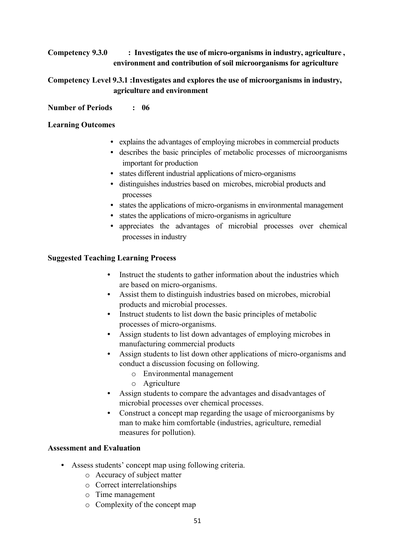# **Competency 9.3.0 : Investigates the use of micro-organisms in industry, agriculture , environment and contribution of soil microorganisms for agriculture**

# **Competency Level 9.3.1 :Investigates and explores the use of microorganisms in industry, agriculture and environment**

# **Number of Periods : 06**

# **Learning Outcomes**

- explains the advantages of employing microbes in commercial products
- describes the basic principles of metabolic processes of microorganisms important for production
- states different industrial applications of micro-organisms
- distinguishes industries based on microbes, microbial products and processes
- states the applications of micro-organisms in environmental management
- states the applications of micro-organisms in agriculture
- appreciates the advantages of microbial processes over chemical processes in industry

# **Suggested Teaching Learning Process**

- Instruct the students to gather information about the industries which are based on micro-organisms.
- Assist them to distinguish industries based on microbes, microbial products and microbial processes.
- Instruct students to list down the basic principles of metabolic processes of micro-organisms.
- Assign students to list down advantages of employing microbes in manufacturing commercial products
- Assign students to list down other applications of micro-organisms and conduct a discussion focusing on following.
	- o Environmental management
	- o Agriculture
- Assign students to compare the advantages and disadvantages of microbial processes over chemical processes.
- Construct a concept map regarding the usage of microorganisms by man to make him comfortable (industries, agriculture, remedial measures for pollution).

- Assess students' concept map using following criteria.
	- o Accuracy of subject matter
	- o Correct interrelationships
	- o Time management
	- o Complexity of the concept map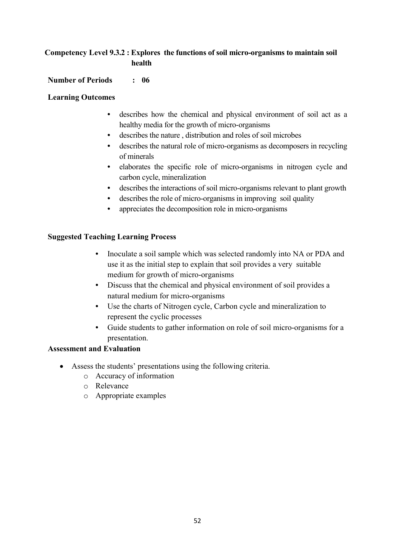# **Competency Level 9.3.2 : Explores the functions of soil micro-organisms to maintain soil health**

# **Number of Periods : 06**

#### **Learning Outcomes**

- describes how the chemical and physical environment of soil act as a healthy media for the growth of micro-organisms
- describes the nature , distribution and roles of soil microbes
- describes the natural role of micro-organisms as decomposers in recycling of minerals
- elaborates the specific role of micro-organisms in nitrogen cycle and carbon cycle, mineralization
- describes the interactions of soil micro-organisms relevant to plant growth
- describes the role of micro-organisms in improving soil quality
- appreciates the decomposition role in micro-organisms

#### **Suggested Teaching Learning Process**

- Inoculate a soil sample which was selected randomly into NA or PDA and use it as the initial step to explain that soil provides a very suitable medium for growth of micro-organisms
- Discuss that the chemical and physical environment of soil provides a natural medium for micro-organisms
- Use the charts of Nitrogen cycle, Carbon cycle and mineralization to represent the cyclic processes
- Guide students to gather information on role of soil micro-organisms for a presentation.

- Assess the students' presentations using the following criteria.
	- o Accuracy of information
	- o Relevance
	- o Appropriate examples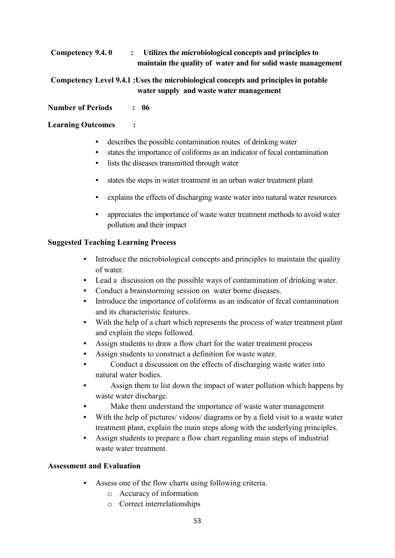**Competency 9.4. 0 : Utilizes the microbiological concepts and principles to maintain the quality of water and for solid waste management**

**Competency Level 9.4.1 :Uses the microbiological concepts and principles in potable water supply and waste water management**

# **Number of Periods : 06**

# **Learning Outcomes :**

- describes the possible contamination routes of drinking water
- states the importance of coliforms as an indicator of fecal contamination
- lists the diseases transmitted through water
- states the steps in water treatment in an urban water treatment plant
- explains the effects of discharging waste water into natural water resources
- appreciates the importance of waste water treatment methods to avoid water pollution and their impact

# **Suggested Teaching Learning Process**

- Introduce the microbiological concepts and principles to maintain the quality of water.
- Lead a discussion on the possible ways of contamination of drinking water.
- Conduct a brainstorming session on water borne diseases.
- Introduce the importance of coliforms as an indicator of fecal contamination and its characteristic features.
- With the help of a chart which represents the process of water treatment plant and explain the steps followed.
- Assign students to draw a flow chart for the water treatment process
- Assign students to construct a definition for waste water.
- Conduct a discussion on the effects of discharging waste water into natural water bodies.
- Assign them to list down the impact of water pollution which happens by waste water discharge.
- Make them understand the importance of waste water management
- With the help of pictures/ videos/ diagrams or by a field visit to a waste water treatment plant, explain the main steps along with the underlying principles.
- Assign students to prepare a flow chart regarding main steps of industrial waste water treatment.

- Assess one of the flow charts using following criteria.
	- o Accuracy of information
	- o Correct interrelationships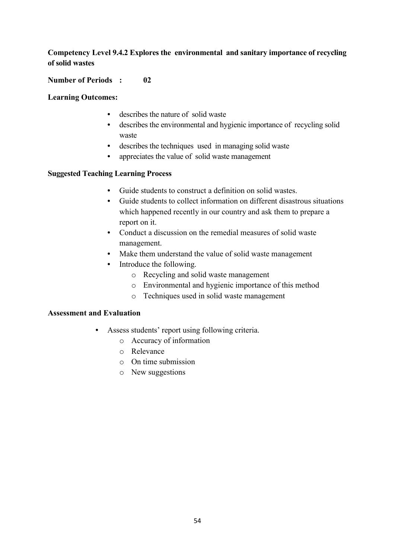# **Competency Level 9.4.2 Explores the environmental and sanitary importance of recycling of solid wastes**

# **Number of Periods : 02**

#### **Learning Outcomes:**

- describes the nature of solid waste
- describes the environmental and hygienic importance of recycling solid waste
- describes the techniques used in managing solid waste
- appreciates the value of solid waste management

#### **Suggested Teaching Learning Process**

- Guide students to construct a definition on solid wastes.
- Guide students to collect information on different disastrous situations which happened recently in our country and ask them to prepare a report on it.
- Conduct a discussion on the remedial measures of solid waste management.
- Make them understand the value of solid waste management
- Introduce the following.
	- o Recycling and solid waste management
	- o Environmental and hygienic importance of this method
	- o Techniques used in solid waste management

- Assess students' report using following criteria.
	- o Accuracy of information
	- o Relevance
	- o On time submission
	- o New suggestions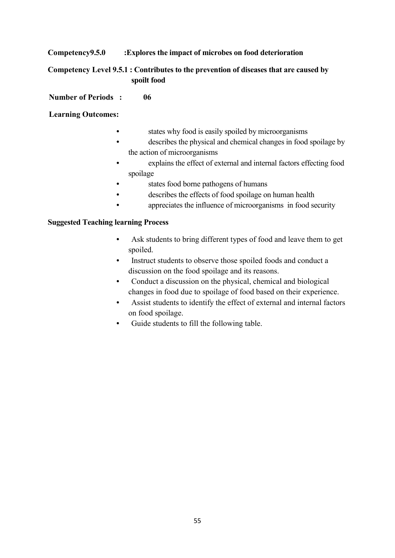# **Competency9.5.0 :Explores the impact of microbes on food deterioration**

# **Competency Level 9.5.1 : Contributes to the prevention of diseases that are caused by spoilt food**

**Number of Periods : 06**

# **Learning Outcomes:**

- states why food is easily spoiled by microorganisms
- describes the physical and chemical changes in food spoilage by the action of microorganisms
- explains the effect of external and internal factors effecting food spoilage
- states food borne pathogens of humans
- describes the effects of food spoilage on human health
- appreciates the influence of microorganisms in food security

#### **Suggested Teaching learning Process**

- Ask students to bring different types of food and leave them to get spoiled.
- Instruct students to observe those spoiled foods and conduct a discussion on the food spoilage and its reasons.
- Conduct a discussion on the physical, chemical and biological changes in food due to spoilage of food based on their experience.
- Assist students to identify the effect of external and internal factors on food spoilage.
- Guide students to fill the following table.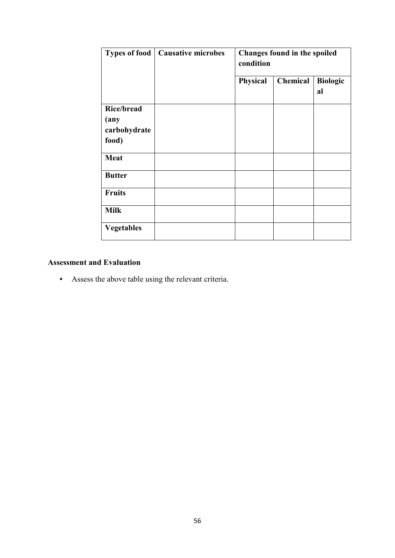| <b>Types of food</b>                                           | <b>Causative microbes</b> | Changes found in the spoiled<br>condition |          |                       |
|----------------------------------------------------------------|---------------------------|-------------------------------------------|----------|-----------------------|
|                                                                |                           | Physical                                  | Chemical | <b>Biologic</b><br>al |
| <b>Rice/bread</b><br>$(\mathbf{any})$<br>carbohydrate<br>food) |                           |                                           |          |                       |
| <b>Meat</b>                                                    |                           |                                           |          |                       |
| <b>Butter</b>                                                  |                           |                                           |          |                       |
| <b>Fruits</b>                                                  |                           |                                           |          |                       |
| <b>Milk</b>                                                    |                           |                                           |          |                       |
| <b>Vegetables</b>                                              |                           |                                           |          |                       |

# **Assessment and Evaluation**

• Assess the above table using the relevant criteria.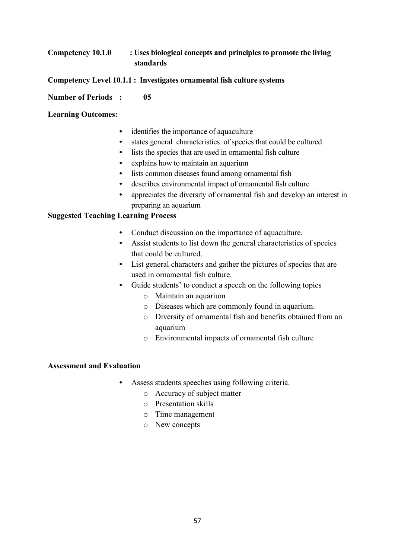# **Competency 10.1.0 : Uses biological concepts and principles to promote the living standards**

- **Competency Level 10**.**1.1 : Investigates ornamental fish culture systems**
- **Number of Periods : 05**

#### **Learning Outcomes:**

- identifies the importance of aquaculture
- states general characteristics of species that could be cultured
- lists the species that are used in ornamental fish culture
- explains how to maintain an aquarium
- lists common diseases found among ornamental fish
- describes environmental impact of ornamental fish culture
- appreciates the diversity of ornamental fish and develop an interest in preparing an aquarium

# **Suggested Teaching Learning Process**

- Conduct discussion on the importance of aquaculture.
- Assist students to list down the general characteristics of species that could be cultured.
- List general characters and gather the pictures of species that are used in ornamental fish culture.
- Guide students' to conduct a speech on the following topics
	- o Maintain an aquarium
	- o Diseases which are commonly found in aquarium.
	- o Diversity of ornamental fish and benefits obtained from an aquarium
	- o Environmental impacts of ornamental fish culture

- Assess students speeches using following criteria.
	- o Accuracy of subject matter
	- o Presentation skills
	- o Time management
	- o New concepts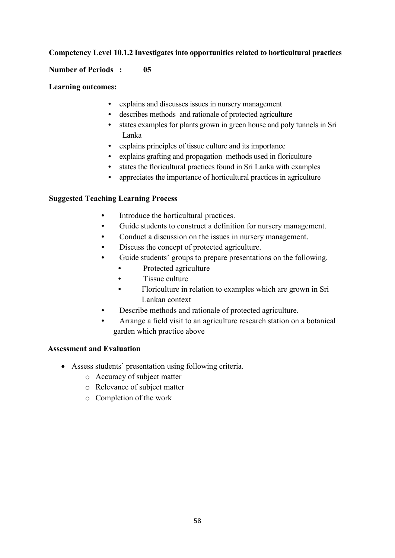# **Competency Level 10.1.2 Investigates into opportunities related to horticultural practices**

#### **Number of Periods : 05**

#### **Learning outcomes:**

- explains and discusses issues in nursery management
- describes methods and rationale of protected agriculture
- states examples for plants grown in green house and poly tunnels in Sri Lanka
- explains principles of tissue culture and its importance
- explains grafting and propagation methods used in floriculture
- states the floricultural practices found in Sri Lanka with examples
- appreciates the importance of horticultural practices in agriculture

#### **Suggested Teaching Learning Process**

- Introduce the horticultural practices.
- Guide students to construct a definition for nursery management.
- Conduct a discussion on the issues in nursery management.
- Discuss the concept of protected agriculture.
- Guide students' groups to prepare presentations on the following.
	- Protected agriculture
	- Tissue culture
	- Floriculture in relation to examples which are grown in Sri Lankan context
- Describe methods and rationale of protected agriculture.
- Arrange a field visit to an agriculture research station on a botanical garden which practice above

- Assess students' presentation using following criteria.
	- o Accuracy of subject matter
	- o Relevance of subject matter
	- o Completion of the work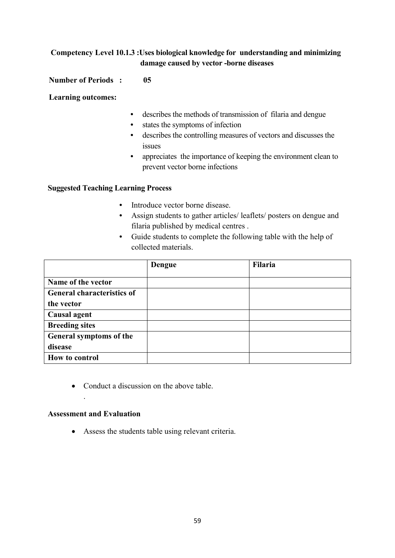# **Competency Level 10.1.3 :Uses biological knowledge for understanding and minimizing damage caused by vector -borne diseases**

# **Number of Periods : 05**

**Learning outcomes:**

- describes the methods of transmission of filaria and dengue
- states the symptoms of infection
- describes the controlling measures of vectors and discusses the issues
- appreciates the importance of keeping the environment clean to prevent vector borne infections

# **Suggested Teaching Learning Process**

- Introduce vector borne disease.
- Assign students to gather articles/ leaflets/ posters on dengue and filaria published by medical centres .
- Guide students to complete the following table with the help of collected materials.

|                                   | <b>Dengue</b> | <b>Filaria</b> |
|-----------------------------------|---------------|----------------|
|                                   |               |                |
| Name of the vector                |               |                |
| <b>General characteristics of</b> |               |                |
| the vector                        |               |                |
| Causal agent                      |               |                |
| <b>Breeding sites</b>             |               |                |
| General symptoms of the           |               |                |
| disease                           |               |                |
| How to control                    |               |                |

• Conduct a discussion on the above table.

# **Assessment and Evaluation**

.

Assess the students table using relevant criteria.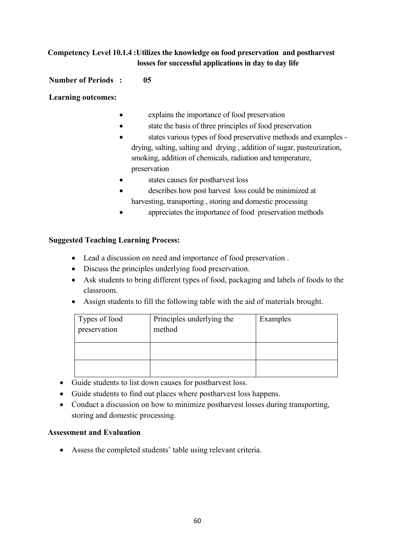# **Competency Level 10.1.4 :Utilizes the knowledge on food preservation and postharvest losses for successful applications in day to day life**

# **Number of Periods : 05**

**Learning outcomes:**

- explains the importance of food preservation
- state the basis of three principles of food preservation
- states various types of food preservative methods and examples drying, salting, salting and drying , addition of sugar, pasteurization, smoking, addition of chemicals, radiation and temperature, preservation
- states causes for postharvest loss
- describes how post harvest loss could be minimized at harvesting, transporting , storing and domestic processing
- appreciates the importance of food preservation methods

# **Suggested Teaching Learning Process:**

- Lead a discussion on need and importance of food preservation .
- Discuss the principles underlying food preservation.
- Ask students to bring different types of food, packaging and labels of foods to the classroom.
- Assign students to fill the following table with the aid of materials brought.

| Types of food<br>preservation | Principles underlying the<br>method | Examples |
|-------------------------------|-------------------------------------|----------|
|                               |                                     |          |
|                               |                                     |          |

- Guide students to list down causes for postharvest loss.
- Guide students to find out places where postharvest loss happens.
- Conduct a discussion on how to minimize postharvest losses during transporting, storing and domestic processing.

# **Assessment and Evaluation**

Assess the completed students' table using relevant criteria.